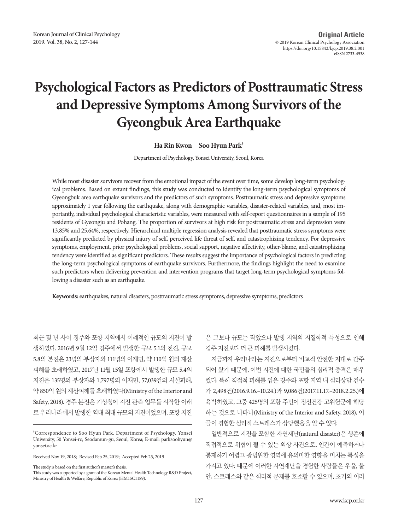# **Psychological Factors as Predictors of Posttraumatic Stress and Depressive Symptoms Among Survivors of the Gyeongbuk Area Earthquake**

**Ha Rin Kwon Soo Hyun Park†**

Department of Psychology, Yonsei University, Seoul, Korea

While most disaster survivors recover from the emotional impact of the event over time, some develop long-term psychological problems. Based on extant findings, this study was conducted to identify the long-term psychological symptoms of Gyeongbuk area earthquake survivors and the predictors of such symptoms. Posttraumatic stress and depressive symptoms approximately 1 year following the earthquake, along with demographic variables, disaster-related variables, and, most importantly, individual psychological characteristic variables, were measured with self-report questionnaires in a sample of 195 residents of Gyeongju and Pohang. The proportion of survivors at high risk for posttraumatic stress and depression were 13.85% and 25.64%, respectively. Hierarchical multiple regression analysis revealed that posttraumatic stress symptoms were significantly predicted by physical injury of self, perceived life threat of self, and catastrophizing tendency. For depressive symptoms, employment, prior psychological problems, social support, negative affectivity, other-blame, and catastrophizing tendency were identified as significant predictors. These results suggest the importance of psychological factors in predicting the long-term psychological symptoms of earthquake survivors. Furthermore, the findings highlight the need to examine such predictors when delivering prevention and intervention programs that target long-term psychological symptoms following a disaster such as an earthquake.

**Keywords:** earthquakes, natural disasters, posttraumatic stress symptoms, depressive symptoms, predictors

최근 몇 년 사이 경주와 포항 지역에서 이례적인 규모의 지진이 발 생하였다. 2016년 9월 12일 경주에서 발생한 규모 5.1의 전진, 규모 5.8의 본진은 23명의 부상자와 111명의 이재민, 약 110억 원의 재산 피해를 초래하였고, 2017년 11월 15일 포항에서 발생한 규모 5.4의 지진은 135명의 부상자와 1,797명의 이재민, 57,039건의 시설피해, 약 850억원의재산피해를초래하였다(Ministry of the Interior and Safety, 2018). 경주 본진은 기상청이 지진 관측 업무를 시작한 이래 로 우리나라에서 발생한 역대 최대 규모의 지진이었으며, 포항 지진

Received Nov 19, 2018; Revised Feb 25, 2019; Accepted Feb 25, 2019

The study is based on the first author's master's thesis.

은 그보다 규모는 작았으나 발생 지역의 지질학적 특성으로 인해 경주지진보다더큰피해를발생시켰다.

지금까지 우리나라는 지진으로부터 비교적 안전한 지대로 간주 되어 왔기 때문에, 이번 지진에 대한 국민들의 심리적 충격은 매우 컸다. 특히 직접적 피해를 입은 경주와 포항 지역 내 심리상담 건수 가 2,498건(2016.9.16.–10.24.)과 9,086건(2017.11.17.–2018.2.25.)에 육박하였고, 그중 425명의 포항 주민이 정신건강 고위험군에 해당 하는 것으로 나타나(Ministry of the Interior and Safety, 2018), 이 들이경험한심리적스트레스가상당했음을알수있다.

일반적으로 지진을 포함한 자연재난(natural disaster)은 생존에 직접적으로 위협이 될 수 있는 외상 사건으로, 인간이 예측하거나 통제하기 어렵고 광범위한 영역에 유의미한 영향을 미치는 특성을 가지고 있다. 때문에 이러한 자연재난을 경험한 사람들은 우울, 불 안, 스트레스와 같은 심리적 문제를 호소할 수 있으며, 초기의 이러

**<sup>†</sup>** Correspondence to Soo Hyun Park, Department of Psychology, Yonsei University, 50 Yonsei-ro, Seodamun-gu, Seoul, Korea; E-mail: parksoohyun@ yonsei.ac.kr

This study was supported by a grant of the Korean Mental Health Technology R&D Project, Ministry of Health & Welfare, Republic of Korea (HM15C1189).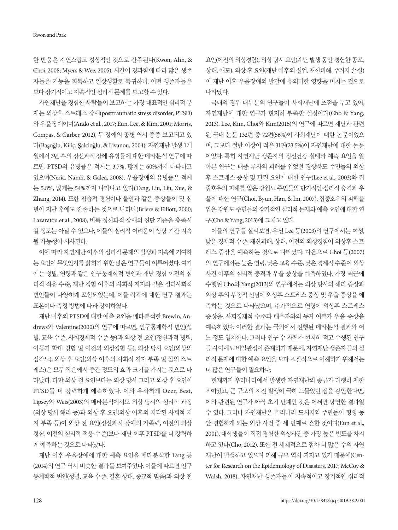Kwon and Park

한 반응은 자연스럽고 정상적인 것으로 간주된다(Kwon, Ahn, & Choi, 2008; Myers & Wee, 2005). 시간이 경과함에 따라 많은 생존 자들은 기능을 회복하고 일상생활로 복귀하나, 어떤 생존자들은 보다 장기적이고 지속적인 심리적 문제를 보고할 수 있다.

자연재난을 경험한 사람들이 보고하는 가장 대표적인 심리적 문 제는 외상후 스트레스 장애(posttraumatic stress disorder, PTSD) 와 우울장애이며(Ando et al., 2017; Eun, Lee, & Kim, 2001; Morris, Compas, & Garber, 2012), 두 장애의 공병 역시 종종 보고되고 있 다(Başoǧlu, Kiliç, Şalcioǧlu, & Livanou, 2004). 자연재난 발생 1개 월에서 3년 후의 정신과적 장애 유병률에 대한 메타분석 연구에 따 르면, PTSD의 유병률은 적게는 3.7%, 많게는 60%까지 나타나고 있으며(Neria, Nandi, & Galea, 2008), 우울장애의 유병률은 적게 는 5.8%, 많게는 54%까지 나타나고 있다(Tang, Liu, Liu, Xue, & Zhang, 2014). 또한 침습적 경험이나 불안과 같은 증상들이 몇 십 년이 지난 후에도 잔존하는 것으로 나타나(Briere & Elliott, 2000; Lazaratou et al., 2008), 비록 정신과적 장애의 진단 기준을 충족시 킬 정도는 아닐 수 있으나, 이들의 심리적 어려움이 상당 기간 지속 될가능성이시사된다.

이에 따라 자연재난 이후의 심리적 문제의 발생과 지속에 기여하 는요인이무엇인지를밝히기위한많은연구들이이루어졌다. 여기 에는 성별, 연령과 같은 인구통계학적 변인과 재난 경험 이전의 심 리적 적응 수준, 재난 경험 이후의 사회적 지지와 같은 심리사회적 변인들이 다양하게 포함되었는데, 이들 각각에 대한 연구 결과는 표본이나측정방법에따라상이하였다.

재난 이후의 PTSD에 대한 예측 요인을 메타분석한 Brewin, Andrews와 Valentine(2000)의 연구에 따르면, 인구통계학적 변인(성 별, 교육 수준, 사회경제적 수준 등)과 외상 전 요인(정신과적 병력, 아동기 학대 경험 및 이전의 외상경험 등), 외상 당시 요인(외상의 심각도), 외상 후 요인(외상 이후의 사회적 지지 부족 및 삶의 스트 레스)은 모두 작은에서 중간 정도의 효과 크기를 가지는 것으로 나 타났다. 다만 외상 전 요인보다는 외상 당시 그리고 외상 후 요인이 PTSD를 더 강력하게 예측하였다. 이와 유사하게 Ozer, Best, Lipsey와 Weis(2003)의 메타분석에서도 외상 당시의 심리적 과정 (외상 당시 해리 등)과 외상 후 요인(외상 이후의 지각된 사회적 지 지 부족 등)이 외상 전 요인(정신과적 장애의 가족력, 이전의 외상 경험, 이전의 심리적 적응 수준)보다 재난 이후 PTSD를 더 강력하 게예측하는것으로나타났다.

재난 이후 우울장애에 대한 예측 요인을 메타분석한 Tang 등 (2014)의 연구 역시 비슷한 결과를 보여주었다. 이들에 따르면 인구 통계학적 변인(성별, 교육 수준, 결혼 상태, 종교적 믿음)과 외상 전

요인(이전의 외상경험), 외상 당시 요인(재난 발생 동안 경험한 공포, 상해, 애도), 외상후요인(재난이후의실업, 재산피해, 주거지손실) 이 재난 이후 우울장애의 발달에 유의미한 영향을 미치는 것으로 나타났다.

국내의 경우 대부분의 연구들이 사회재난에 초점을 두고 있어, 자연재난에 대한 연구가 현저히 부족한 실정이다(Cho & Yang, 2013). Lee, Kim, Choi와 Kim(2015)의 연구에 따르면 재난과 관련 된 국내 논문 132편 중 72편(56%)이 사회재난에 대한 논문이었으 며, 그보다 절반 이상이 적은 31편(23.5%)이 자연재난에 대한 논문 이었다. 특히 자연재난 생존자의 정신건강 실태와 예측 요인을 알 아본 연구는 태풍 루사의 피해를 입었던 경상북도 주민들의 외상 후 스트레스 증상 및 관련 요인에 대한 연구(Lee et al., 2003)와 집 중호우의 피해를 입은 강원도 주민들의 단기적인 심리적 충격과 우 울에 대한 연구(Choi, Byun, Han, & Im, 2007), 집중호우의 피해를 입은 강원도 주민들의 장기적인 심리적 문제와 예측 요인에 대한 연 구(Cho & Yang, 2013)에그치고있다.

이들의 연구를 살펴보면, 우선 Lee 등(2003)의 연구에서는 여성, 낮은 경제적 수준, 재산피해, 상해, 이전의 외상경험이 외상후 스트 레스 증상을 예측하는 것으로 나타났다. 다음으로 Choi 등(2007) 의연구에서는높은연령, 낮은교육수준, 낮은경제적수준이외상 사건 이후의 심리적 충격과 우울 증상을 예측하였다. 가장 최근에 수행된 Cho와 Yang(2013)의 연구에서는 외상 당시의 해리 증상과 외상 후의 부정적 신념이 외상후 스트레스 증상 및 우울 증상을 예 측하는 것으로 나타났으며, 추가적으로 연령이 외상후 스트레스 증상을, 사회경제적 수준과 배우자와의 동거 여부가 우울 증상을 예측하였다. 이러한 결과는 국외에서 진행된 메타분석 결과와 어 느 정도 일치한다. 그러나 연구 수 자체가 현저히 적고 수행된 연구 들 사이에도 비일관성이 존재하기 때문에, 자연재난 생존자들의 심 리적 문제에 대한 예측 요인을 보다 포괄적으로 이해하기 위해서는 더많은연구들이필요하다.

현재까지 우리나라에서 발생한 자연재난의 종류가 다행히 제한 적이었고, 큰 규모의 지진 발생이 극히 드물었던 점을 감안한다면, 이와 관련된 연구가 아직 초기 단계인 것은 어쩌면 당연한 결과일 수 있다. 그러나 자연재난은 우리나라 도시지역 주민들이 평생 동 안 경험하게 되는 외상 사건 중 세 번째로 흔한 것이며(Eun et al., 2001), 대학생들이 직접 경험한 외상사건 중 가장 높은 빈도를 차지 하고 있다(Cho, 2012). 또한 전 세계적으로 점차 더 많은 수의 자연 재난이 발생하고 있으며 피해 규모 역시 커지고 있기 때문에(Center for Research on the Epidemiology of Disasters, 2017; McCoy & Walsh, 2018), 자연재난 생존자들이 지속적이고 장기적인 심리적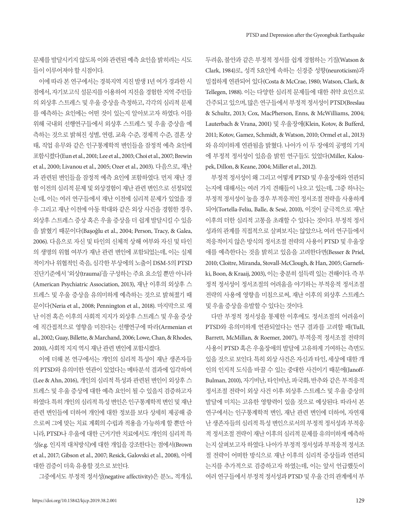문제를 발달시키지 않도록 이와 관련된 예측 요인을 밝히려는 시도 들이이루어져야할시점이다.

이에 따라 본 연구에서는 경북지역 지진 발생 1년 여가 경과한 시 점에서, 자기보고식 설문지를 이용하여 지진을 경험한 지역 주민들 의 외상후 스트레스 및 우울 증상을 측정하고, 각각의 심리적 문제 를 예측하는 요인에는 어떤 것이 있는지 알아보고자 하였다. 이를 위해 국내외 선행연구들에서 외상후 스트레스 및 우울 증상을 예 측하는 것으로 밝혀진 성별, 연령, 교육 수준, 경제적 수준, 결혼 상 태, 직업 유무와 같은 인구통계학적 변인들을 잠정적 예측 요인에 포함시켰다(Eun et al., 2001; Lee et al., 2003; Choi et al., 2007; Brewin et al., 2000; Livanou et al., 2005; Ozer et al., 2003). 다음으로, 재난 과 관련된 변인들을 잠정적 예측 요인에 포함하였다. 먼저 재난 경 험 이전의 심리적 문제 및 외상경험이 재난 관련 변인으로 선정되었 는데, 이는 여러 연구들에서 재난 이전에 심리적 문제가 있었을 경 우 그리고 재난 이전에 아동 학대와 같은 외상 사건을 경험한 경우, 외상후 스트레스 증상 혹은 우울 증상을 더 쉽게 발달시킬 수 있음 을 밝혔기 때문이다(Başoǧlu et al., 2004; Person, Tracy, & Galea, 2006). 다음으로 자신 및 타인의 신체적 상해 여부와 자신 및 타인 의 생명의 위협 여부가 재난 관련 변인에 포함되었는데, 이는 실제 적이거나 위협적인 죽음, 심각한 부상에의 노출이 DSM-5의 PTSD 진단기준에서 '외상(trauma)'을 구성하는 주요 요소일 뿐만 아니라 (American Psychiatric Association, 2013), 재난 이후의 외상후 스 트레스 및 우울 증상을 유의미하게 예측하는 것으로 밝혀졌기 때 문이다(Neria et al., 2008; Pennington et al., 2018). 마지막으로 재 난 이전 혹은 이후의 사회적 지지가 외상후 스트레스 및 우울 증상 에 직간접적으로 영향을 미친다는 선행연구에 따라(Armenian et al., 2002; Guay, Billette, & Marchand, 2006; Lowe, Chan, & Rhodes, 2010), 사회적 지지 역시 재난 관련 변인에 포함시켰다.

이에 더해 본 연구에서는 개인의 심리적 특성이 재난 생존자들 의 PTSD와 유의미한 연관이 있었다는 메타분석 결과에 입각하여 (Lee & Ahn, 2016), 개인의 심리적 특성과 관련된 변인이 외상후 스 트레스 및 우울 증상에 대한 예측 요인이 될 수 있을지 검증하고자 하였다. 특히 개인의 심리적 특성 변인은 인구통계학적 변인 및 재난 관련 변인들에 더하여 개인에 대한 정보를 보다 상세히 제공해 줌 으로써 그에 맞는 치료 계획의 수립과 적용을 가능하게 할 뿐만 아 니라, PTSD나 우울에 대한 근거기반 치료에서도 개인의 심리적 특 성(e.g. 인지적 대처방식)에 대한 개입을 강조한다는 점에서(Brown et al., 2017; Gibson et al., 2007; Resick, Galovski et al., 2008), 이에 대한검증이더욱유용할것으로보인다.

그중에서도 부정적 정서성(negative affectivity)은 분노, 적개심,

두려움, 불안과 같은 부정적 정서를 쉽게 경험하는 기질(Watson & Clark, 1984)로, 성격 5요인에 속하는 신경증 성향(neuroticism)과 밀접하게 연관되어 있다(Costa & McCrae, 1980; Watson, Clark, & Tellegen, 1988). 이는 다양한 심리적 문제들에 대한 취약 요인으로 간주되고있으며, 많은 연구들에서부정적정서성이 PTSD(Breslau & Schultz, 2013; Cox, MacPherson, Enns, & McWilliams, 2004; Lauterbach & Vrana, 2001) 및 우울장애(Klein, Kotov, & Bufferd, 2011; Kotov, Gamez, Schmidt, & Watson, 2010; Ormel et al., 2013) 와 유의미하게 연관됨을 밝혔다. 나아가 이 두 장애의 공병의 기저 에 부정적 정서성이 있음을 밝힌 연구들도 있었다(Miller, Kaloupek, Dillon, & Keane, 2004; Miller et al., 2012).

부정적 정서성이 왜 그리고 어떻게 PTSD 및 우울장애와 연관되 는지에 대해서는 여러 가지 견해들이 나오고 있는데, 그중 하나는 부정적 정서성이 높을 경우 부적응적인 정서조절 전략을 사용하게 되어(Tortella-Feliu, Balle, & Sesé, 2010), 이것이 궁극적으로 재난 이후의 더한 심리적 고통을 초래할 수 있다는 것이다. 부정적 정서 성과의 관계를 직접적으로 살펴보지는 않았으나, 여러 연구들에서 적응적이지 않은 방식의 정서조절 전략의 사용이 PTSD 및 우울장 애를 예측한다는 것을 밝히고 있음을 고려한다면(Besser & Priel, 2010; Cloitre, Miranda, Stovall-McClough, & Han, 2005; Garnefski, Boon, & Kraaij, 2003), 이는 충분히 설득력 있는 견해이다. 즉 부 정적 정서성이 정서조절의 어려움을 야기하는 부적응적 정서조절 전략의 사용에 영향을 미침으로써, 재난 이후의 외상후 스트레스 및우울증상을유발할수있다는것이다.

다만 부정적 정서성을 통제한 이후에도 정서조절의 어려움이 PTSD와 유의미하게 연관되었다는 연구 결과를 고려할 때(Tull, Barrett, McMillan, & Roemer, 2007), 부적응적 정서조절 전략의 사용이 PTSD 혹은 우울장애의 발달에 고유하게 기여하는 측면도 있을 것으로 보인다. 특히 외상 사건은 자신과 타인, 세상에 대한 개 인의 인지적 도식을 바꿀 수 있는 중대한 사건이기 때문에(Janoff-Bulman, 2010), 자기비난, 타인비난, 파국화, 반추와 같은 부적응적 정서조절 전략이 외상 사건 이후 외상후 스트레스 및 우울 증상의 발달에 미치는 고유한 영향력이 있을 것으로 예상된다. 따라서 본 연구에서는 인구통계학적 변인, 재난 관련 변인에 더하여, 자연재 난 생존자들의 심리적 특성 변인으로서의 부정적 정서성과 부적응 적 정서조절 전략이 재난 이후의 심리적 문제를 유의미하게 예측하 는지 살펴보고자 하였다. 나아가 부정적 정서성과 부적응적 정서조 절 전략이 어떠한 방식으로 재난 이후의 심리적 증상들과 연관되 는지를 추가적으로 검증하고자 하였는데, 이는 앞서 언급했듯이 여러 연구들에서 부정적 정서성과 PTSD 및 우울 간의 관계에서 부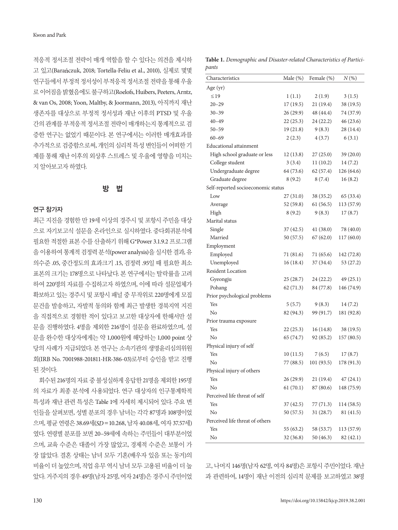적응적 정서조절 전략이 매개 역할을 할 수 있다는 의견을 제시하 고 있고(Barańczuk, 2018; Tortella-Feliu et al., 2010), 실제로 몇몇 연구들에서 부정적 정서성이 부적응적 정서조절 전략을 통해 우울 로이어짐을밝혔음에도불구하고(Roelofs, Huibers, Peeters, Arntz, & van Os, 2008; Yoon, Maltby, & Joormann, 2013), 아직까지 재난 생존자를 대상으로 부정적 정서성과 재난 이후의 PTSD 및 우울 간의 관계를 부적응적 정서조절 전략이 매개하는지 통계적으로 검 증한 연구는 없었기 때문이다. 본 연구에서는 이러한 매개효과를 추가적으로 검증함으로써, 개인의 심리적 특성 변인들이 어떠한 기 제를 통해 재난 이후의 외상후 스트레스 및 우울에 영향을 미치는 지알아보고자하였다.

# 방 법

#### 연구 참가자

최근 지진을 경험한 만 19세 이상의 경주시 및 포항시 주민을 대상 으로 자기보고식 설문을 온라인으로 실시하였다. 중다회귀분석에 필요한 적절한 표본 수를 산출하기 위해 G\*Power 3.1.9.2 프로그램 을이용하여통계적검정력분석(power analysis)을실시한결과, 유 의수준 .05, 중간정도의 효과크기 .15, 검정력 .95일 때 필요한 최소 표본의 크기는 178명으로 나타났다. 본 연구에서는 탈락률을 고려 하여 220명의 자료를 수집하고자 하였으며, 이에 따라 설문업체가 확보하고 있는 경주시 및 포항시 패널 중 무작위로 220명에게 모집 문건을 발송하고, 자발적 동의와 함께 최근 발생한 경북지역 지진 을 직접적으로 경험한 적이 있다고 보고한 대상자에 한해서만 설 문을 진행하였다. 4명을 제외한 216명이 설문을 완료하였으며, 설 문을 완수한 대상자에게는 약 1,000원에 해당하는 1,000 point 상 당의 사례가 지급되었다. 본 연구는 소속기관의 생명윤리심의위원 회(IRB No. 7001988-201811-HR-386-03)로부터 승인을 받고 진행 된것이다.

회수된 216명의 자료 중 불성실하게 응답한 21명을 제외한 195명 의 자료가 최종 분석에 사용되었다. 연구 대상자의 인구통계학적 특성과 재난 관련 특성은 Table 1에 자세히 제시되어 있다. 주요 변 인들을 살펴보면, 성별 분포의 경우 남녀는 각각 87명과 108명이었 으며, 평균 연령은 38.69세(SD=10.268, 남자 40.08세, 여자 37.57세) 였다. 연령별 분포를 보면 20–59세에 속하는 주민들이 대부분이었 으며, 교육 수준은 대졸이 가장 많았고, 경제적 수준은 보통이 가 장 많았다. 결혼 상태는 남녀 모두 기혼(배우자 있음 또는 동거)의 비율이 더 높았으며, 직업 유무 역시 남녀 모두 고용된 비율이 더 높 았다. 거주지의 경우 49명(남자 25명, 여자 24명)은 경주시 주민이었

**Table 1.** *Demographic and Disaster-related Characteristics of Participants*

| Characteristics                    | Male (%)  | Female (%) | $N(\%)$    |
|------------------------------------|-----------|------------|------------|
| Age (yr)                           |           |            |            |
| $\leq$ 19                          | 1(1.1)    | 2(1.9)     | 3(1.5)     |
| $20 - 29$                          | 17(19.5)  | 21(19.4)   | 38 (19.5)  |
| $30 - 39$                          | 26 (29.9) | 48 (44.4)  | 74 (37.9)  |
| $40 - 49$                          | 22(25.3)  | 24 (22.2)  | 46(23.6)   |
| $50 - 59$                          | 19(21.8)  | 9(8.3)     | 28 (14.4)  |
| $60 - 69$                          | 2(2.3)    | 4(3.7)     | 6(3.1)     |
| <b>Educational attainment</b>      |           |            |            |
| High school graduate or less       | 12(13.8)  | 27(25.0)   | 39(20.0)   |
| College student                    | 3(3.4)    | 11(10.2)   | 14(7.2)    |
| Undergraduate degree               | 64 (73.6) | 62(57.4)   | 126 (64.6) |
| Graduate degree                    | 8(9.2)    | 8(7.4)     | 16(8.2)    |
| Self-reported socioeconomic status |           |            |            |
| Low                                | 27(31.0)  | 38(35.2)   | 65 (33.4)  |
| Average                            | 52(59.8)  | 61(56.5)   | 113 (57.9) |
| High                               | 8(9.2)    | 9(8.3)     | 17(8.7)    |
| Marital status                     |           |            |            |
| Single                             | 37(42.5)  | 41(38.0)   | 78 (40.0)  |
| Married                            | 50 (57.5) | 67(62.0)   | 117 (60.0) |
| Employment                         |           |            |            |
| Employed                           | 71 (81.6) | 71 (65.6)  | 142 (72.8) |
| Unemployed                         | 16(18.4)  | 37 (34.4)  | 53 (27.2)  |
| <b>Resident Location</b>           |           |            |            |
| Gyeongju                           | 25(28.7)  | 24 (22.2)  | 49(25.1)   |
| Pohang                             | 62(71.3)  | 84 (77.8)  | 146 (74.9) |
| Prior psychological problems       |           |            |            |
| Yes                                | 5(5.7)    | 9(8.3)     | 14 (7.2)   |
| No                                 | 82 (94.3) | 99 (91.7)  | 181 (92.8) |
| Prior trauma exposure              |           |            |            |
| Yes                                | 22(25.3)  | 16(14.8)   | 38 (19.5)  |
| No                                 | 65 (74.7) | 92 (85.2)  | 157 (80.5) |
| Physical injury of self            |           |            |            |
| Yes                                | 10(11.5)  | 7(6.5)     | 17(8.7)    |
| No                                 | 77 (88.5) | 101(93.5)  | 178 (91.3) |
| Physical injury of others          |           |            |            |
| Yes                                | 26 (29.9) | 21(19.4)   | 47(24.1)   |
| No                                 | 61(70.1)  | 87 (80.6)  | 148 (75.9) |
| Perceived life threat of self      |           |            |            |
| Yes                                | 37(42.5)  | 77 (71.3)  | 114 (58.5) |
| No                                 | 50 (57.5) | 31 (28.7)  | 81 (41.5)  |
| Perceived life threat of others    |           |            |            |
| Yes                                | 55 (63.2) | 58 (53.7)  | 113 (57.9) |
| No                                 | 32 (36.8) | 50(46.3)   | 82 (42.1)  |

고, 나머지 146명(남자 62명, 여자 84명)은 포항시 주민이었다. 재난 과 관련하여, 14명이 재난 이전의 심리적 문제를 보고하였고 38명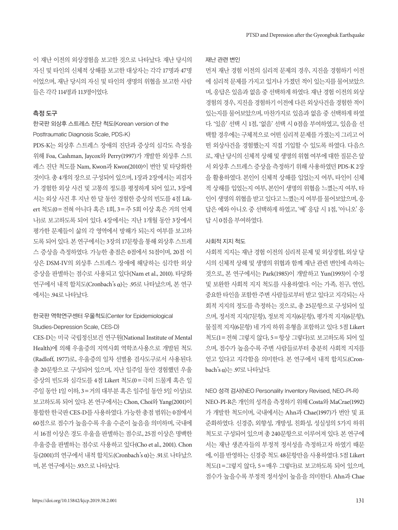이 재난 이전의 외상경험을 보고한 것으로 나타났다. 재난 당시의 자신 및 타인의 신체적 상해를 보고한 대상자는 각각 17명과 47명 이었으며, 재난 당시의 자신 및 타인의 생명의 위협을 보고한 사람 들은각각 114명과 113명이었다.

## 측정 도구

## 한국판 외상후 스트레스 진단 척도(Korean version of the Posttraumatic Diagnosis Scale, PDS-K)

PDS-K는 외상후 스트레스 장애의 진단과 증상의 심각도 측정을 위해 Foa, Cashman, Jaycox와 Perry(1997)가 개발한 외상후 스트 레스 진단 척도를 Nam, Kwon과 Kwon(2010)이 번안 및 타당화한 것이다. 총 4개의 장으로 구성되어 있으며, 1장과 2장에서는 피검자 가 경험한 외상 사건 및 고통의 정도를 평정하게 되어 있고, 3장에 서는 외상 사건 후 지난 한 달 동안 경험한 증상의 빈도를 4점 Likert 척도(0=전혀 아니다 혹은 1회, 3=주 5회 이상 혹은 거의 언제 나)로 보고하도록 되어 있다. 4장에서는 지난 1개월 동안 3장에서 평가한 문제들이 삶의 각 영역에서 방해가 되는지 여부를 보고하 도록되어있다. 본연구에서는 3장의 17문항을통해외상후스트레 스 증상을 측정하였다. 가능한 총점은 0점에서 51점이며, 20점 이 상은 DSM-IV의 외상후 스트레스 장애에 해당하는 심각한 외상 증상을 판별하는 점수로 사용되고 있다(Nam et al., 2010). 타당화 연구에서 내적 합치도(Cronbach's α)는 .95로 나타났으며, 본 연구 에서는 .94로나타났다.

# 한국판 역학연구센터 우울척도(Center for Epidemiological Studies-Depression Scale, CES-D)

CES-D는 미국 국립정신보건 연구원(National Institute of Mental Health)에 의해 우울증의 지역사회 역학조사용으로 개발된 척도 (Radloff, 1977)로, 우울증의 일차 선별용 검사도구로서 사용된다. 총 20문항으로 구성되어 있으며, 지난 일주일 동안 경험했던 우울 증상의 빈도와 심각도를 4점 Likert 척도(0=극히 드물게 혹은 일 주일 동안 1일 이하, 3=거의 대부분 혹은 일주일 동안 5일 이상)로 보고하도록 되어 있다. 본 연구에서는 Chon, Choi와 Yang(2001)이 통합한 한국판 CES-D를 사용하였다. 가능한 총점 범위는 0점에서 60점으로 점수가 높을수록 우울 수준이 높음을 의미하며, 국내에 서 16점 이상은 경도 우울을 판별하는 점수로, 25점 이상은 명백한 우울증을 판별하는 점수로 사용하고 있다(Cho et al., 2001). Chon 등(2001)의 연구에서 내적 합치도(Cronbach's α)는 .91로 나타났으 며, 본 연구에서는 .93으로 나타났다.

#### 재난 관련 변인

먼저 재난 경험 이전의 심리적 문제의 경우, 지진을 경험하기 이전 에 심리적 문제를 가지고 있거나 가졌던 적이 있는지를 물어보았으 며, 응답은 있음과 없음 중 선택하게 하였다. 재난 경험 이전의 외상 경험의 경우, 지진을 경험하기 이전에 다른 외상사건을 경험한 적이 있는지를 물어보았으며, 마찬가지로 있음과 없음 중 선택하게 하였 다. '있음' 선택 시 1점, '없음' 선택 시 0점을 부여하였고, 있음을 선 택할 경우에는 구체적으로 어떤 심리적 문제를 가졌는지 그리고 어 떤 외상사건을 경험했는지 직접 기입할 수 있도록 하였다. 다음으 로, 재난 당시의 신체적 상해 및 생명의 위협 여부에 대한 질문은 앞 서 외상후 스트레스 증상을 측정하기 위해 사용하였던 PDS-K 2장 을 활용하였다. 본인이 신체적 상해를 입었는지 여부, 타인이 신체 적 상해를 입었는지 여부, 본인이 생명의 위협을 느꼈는지 여부, 타 인이 생명의 위협을 받고 있다고 느꼈는지 여부를 물어보았으며, 응 답은 예와 아니오 중 선택하게 하였고, '예' 응답 시 1점, '아니오' 응 답시 0점을부여하였다.

## 사회적 지지 척도

사회적 지지는 재난 경험 이전의 심리적 문제 및 외상경험, 외상 당 시의 신체적 상해 및 생명의 위협과 함께 재난 관련 변인에 속하는 것으로, 본 연구에서는 Park(1985)이 개발하고 Yun(1993)이 수정 및 보완한 사회적 지지 척도를 사용하였다. 이는 가족, 친구, 연인, 중요한 타인을 포함한 주변 사람들로부터 받고 있다고 지각되는 사 회적 지지의 정도를 측정하는 것으로, 총 25문항으로 구성되어 있 으며, 정서적 지지(7문항), 정보적 지지(6문항), 평가적 지지(6문항), 물질적 지지(6문항) 네 가지 하위 유형을 포함하고 있다. 5점 Likert 척도(1=전혀 그렇지 않다, 5=항상 그렇다)로 보고하도록 되어 있 으며, 점수가 높을수록 주변 사람들로부터 충분히 사회적 지지를 얻고 있다고 지각함을 의미한다. 본 연구에서 내적 합치도(Cronbach's α)는 .97로나타났다.

NEO 성격 검사(NEO Personality Inventory Revised, NEO-PI-R) NEO-PI-R은 개인의 성격을 측정하기 위해 Costa와 MaCrae(1992) 가 개발한 척도이며, 국내에서는 Ahn과 Chae(1997)가 번안 및 표 준화하였다. 신경증, 외향성, 개방성, 친화성, 성실성의 5가지 하위 척도로 구성되어 있으며 총 240문항으로 이루어져 있다. 본 연구에 서는 재난 생존자들의 부정적 정서성을 측정하고자 하였기 때문 에, 이를 반영하는 신경증 척도 48문항만을 사용하였다. 5점 Likert 척도(1=그렇지 않다, 5=매우 그렇다)로 보고하도록 되어 있으며, 점수가 높을수록 부정적 정서성이 높음을 의미한다. Ahn과 Chae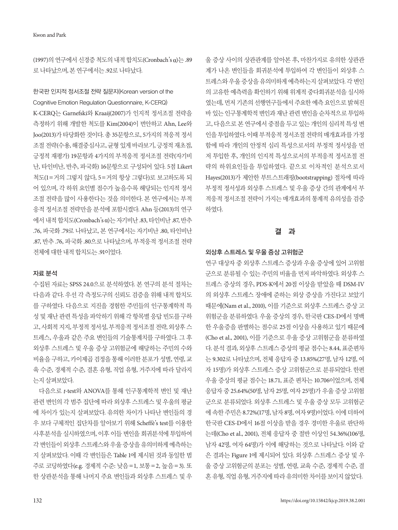(1997)의연구에서신경증척도의내적합치도(Cronbach's α)는 .89 로 나타났으며, 본 연구에서는 .92로 나타났다.

## 한국판 인지적 정서조절 전략 질문지(Korean version of the Cognitive Emotion Regulation Questionnaire, K-CERQ)

K-CERQ는 Garnefski와 Kraaij(2007)가 인지적 정서조절 전략을 측정하기 위해 개발한 척도를 Kim(2004)이 번안하고 Ahn, Lee와 Joo(2013)가 타당화한 것이다. 총 35문항으로, 5가지의 적응적 정서 조절전략(수용, 해결중심사고, 균형있게바라보기, 긍정적재초점, 긍정적 재평가) 19문항과 4가지의 부적응적 정서조절 전략(자기비 난, 타인비난, 반추, 파국화) 16문항으로 구성되어 있다. 5점 Likert 척도(1=거의 그렇지 않다, 5=거의 항상 그렇다)로 보고하도록 되 어 있으며, 각 하위 요인별 점수가 높을수록 해당되는 인지적 정서 조절 전략을 많이 사용한다는 것을 의미한다. 본 연구에서는 부적 응적 정서조절 전략만을 분석에 포함시켰다. Ahn 등(2013)의 연구 에서내적합치도(Cronbach's α)는자기비난 .83, 타인비난 .87, 반추 .76, 파국화 .79로 나타났고, 본 연구에서는 자기비난 .80, 타인비난 .87, 반추 .76, 파국화 .80으로 나타났으며, 부적응적 정서조절 전략 전체에 대한 내적 합치도는 .91이었다.

#### 자료 분석

수집된 자료는 SPSS 24.0으로 분석하였다. 본 연구의 분석 절차는 다음과 같다. 우선 각 측정도구의 신뢰도 검증을 위해 내적 합치도 를 구하였다. 다음으로 지진을 경험한 주민들의 인구통계학적 특 성 및 재난 관련 특성을 파악하기 위해 각 항목별 응답 빈도를 구하 고, 사회적 지지, 부정적 정서성, 부적응적 정서조절 전략, 외상후 스 트레스, 우울과 같은 주요 변인들의 기술통계치를 구하였다. 그 후 외상후 스트레스 및 우울 증상 고위험군에 해당하는 주민의 수와 비율을 구하고, 카이제곱 검정을 통해 이러한 분포가 성별, 연령, 교 육 수준, 경제적 수준, 결혼 유형, 직업 유형, 거주지에 따라 달라지 는지살펴보았다.

다음으로 *t*-test와 ANOVA를 통해 인구통계학적 변인 및 재난 관련 변인의 각 범주 집단에 따라 외상후 스트레스 및 우울의 평균 에 차이가 있는지 살펴보았다. 유의한 차이가 나타난 변인들의 경 우 보다 구체적인 집단차를 알아보기 위해 Scheffè's test를 이용한 사후분석을 실시하였으며, 이후 이들 변인을 회귀분석에 투입하여 각변인들이외상후스트레스와우울증상을유의미하게예측하는 지 살펴보았다. 이때 각 변인들은 Table 1에 제시된 것과 동일한 범 주로 코딩하였다(e.g. 경제적 수준: 낮음=1, 보통=2, 높음=3). 또 한 상관분석을 통해 나머지 주요 변인들과 외상후 스트레스 및 우

울 증상 사이의 상관관계를 알아본 후, 마찬가지로 유의한 상관관 계가 나온 변인들을 회귀분석에 투입하여 각 변인들이 외상후 스 트레스와우울증상을유의미하게예측하는지살펴보았다. 각변인 의 고유한 예측력을 확인하기 위해 위계적 중다회귀분석을 실시하 였는데, 먼저 기존의 선행연구들에서 주요한 예측 요인으로 밝혀진 바 있는 인구통계학적 변인과 재난 관련 변인을 순차적으로 투입하 고, 다음으로 본 연구에서 중점을 두고 있는 개인의 심리적 특성 변 인을 투입하였다. 이때 부적응적 정서조절 전략의 매개효과를 가정 함에 따라 개인의 안정적 심리 특성으로서의 부정적 정서성을 먼 저 투입한 후, 개인의 인지적 특성으로서의 부적응적 정서조절 전 략의 하위요인들을 투입하였다. 끝으로 이차적인 분석으로서 Hayes(2013)가 제안한 부트스트래핑(bootstrapping) 절차에 따라 부정적 정서성과 외상후 스트레스 및 우울 증상 간의 관계에서 부 적응적 정서조절 전략이 가지는 매개효과의 통계적 유의성을 검증 하였다.

## 결 과

## 외상후 스트레스 및 우울 증상 고위험군

연구 대상자 중 외상후 스트레스 증상과 우울 증상에 있어 고위험 군으로 분류될 수 있는 주민의 비율을 먼저 파악하였다. 외상후 스 트레스 증상의 경우, PDS-K에서 20점 이상을 받았을 때 DSM-IV 의 외상후 스트레스 장애에 준하는 외상 증상을 가진다고 보았기 때문에(Nam et al., 2010), 이를 기준으로 외상후 스트레스 증상 고 위험군을 분류하였다. 우울 증상의 경우, 한국판 CES-D에서 명백 한 우울증을 판별하는 점수로 25점 이상을 사용하고 있기 때문에 (Cho et al., 2001), 이를 기준으로 우울 증상 고위험군을 분류하였 다. 분석 결과, 외상후 스트레스 증상의 평균 점수는 8.44, 표준편차 는 9.302로 나타났으며, 전체 응답자 중 13.85%(27명, 남자 12명, 여 자 15명)가 외상후 스트레스 증상 고위험군으로 분류되었다. 한편 우울 증상의 평균 점수는 18.71, 표준 편차는 10.706이었으며, 전체 응답자 중 25.64%(50명, 남자 25명, 여자 25명)가 우울 증상 고위험 군으로 분류되었다. 외상후 스트레스 및 우울 증상 모두 고위험군 에 속한 주민은 8.72%(17명, 남자 8명, 여자 9명)이었다. 이에 더하여 한국판 CES-D에서 16점 이상을 받을 경우 경미한 우울로 판단하 는데(Cho et al., 2001), 전체 응답자 중 절반 이상인 54.36%(106명, 남자 42명, 여자 64명)가 이에 해당하는 것으로 나타났다. 이와 같 은 결과는 Figure 1에 제시되어 있다. 외상후 스트레스 증상 및 우 울 증상 고위험군의 분포는 성별, 연령, 교육 수준, 경제적 수준, 결 혼유형, 직업유형, 거주지에따라유의미한차이를보이지않았다.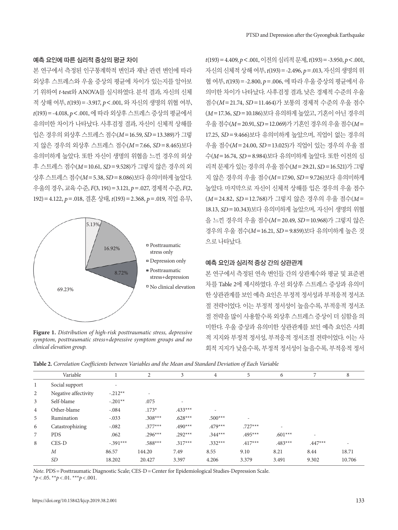#### 예측 요인에 따른 심리적 증상의 평균 차이

본 연구에서 측정된 인구통계학적 변인과 재난 관련 변인에 따라 외상후 스트레스와 우울 증상의 평균에 차이가 있는지를 알아보 기 위하여 *t*-test와 ANOVA를 실시하였다. 분석 결과, 자신의 신체 적 상해 여부, *t*(193)=-3.917, *p*<.001, 와 자신의 생명의 위협 여부, *t*(193)=-4.018, *p*<.001, 에 따라 외상후 스트레스 증상의 평균에서 유의미한 차이가 나타났다. 사후검정 결과, 자신이 신체적 상해를 입은 경우의 외상후 스트레스 점수(*M*=16.59, *SD*=13.389)가 그렇 지 않은 경우의 외상후 스트레스 점수(*M*=7.66, *SD* =8.465)보다 유의미하게 높았다. 또한 자신이 생명의 위협을 느낀 경우의 외상 후 스트레스 점수(*M*=10.61, *SD*=9.528)가 그렇지 않은 경우의 외 상후 스트레스 점수(*M*=5.38, *SD*=8.086)보다 유의미하게 높았다. 우울의 경우, 교육 수준, *F*(3, 191)=3.121, *p*=.027, 경제적 수준, *F*(2, 192)=4.122, *p*=.018, 결혼 상태, *t*(193)=2.368, *p*=.019, 직업 유무,



**Figure 1.** *Distribution of high-risk posttraumatic stress, depressive symptom, posttraumatic stress+depressive symptom groups and no clinical elevation group.*

*t*(193)=4.409, *p*<.001, 이전의심리적문제, *t*(193)=-3.950, *p*<.001, 자신의 신체적 상해 여부,  $t(193) = -2.496$ ,  $p = .013$ , 자신의 생명의 위 협 여부, *t*(193)=-2.800, *p*=.006, 에 따라 우울 증상의 평균에서 유 의미한 차이가 나타났다. 사후검정 결과, 낮은 경제적 수준의 우울 점수(*M*=21.74, *SD* =11.464)가 보통의 경제적 수준의 우울 점수 (*M*=17.36, *SD*=10.186)보다 유의하게 높았고, 기혼이 아닌 경우의 우울점수(*M*=20.91, *SD*=12.069)가기혼인경우의우울점수(*M*= 17.25, *SD* =9.466)보다 유의미하게 높았으며, 직업이 없는 경우의 우울 점수(*M*=24.00, *SD*=13.025)가 직업이 있는 경우의 우울 점 수(*M*=16.74, *SD*=8.984)보다 유의미하게 높았다. 또한 이전의 심 리적 문제가 있는 경우의 우울 점수(*M*=29.21, *SD*=16.521)가 그렇 지 않은 경우의 우울 점수(*M*=17.90, *SD*=9.726)보다 유의미하게 높았다. 마지막으로 자신이 신체적 상해를 입은 경우의 우울 점수 (*M*=24.82, *SD* =12.768)가 그렇지 않은 경우의 우울 점수(*M*= 18.13, *SD*=10.343)보다 유의미하게 높았으며, 자신이 생명의 위협 을 느낀 경우의 우울 점수(*M*=20.49, *SD*=10.968)가 그렇지 않은 경우의 우울 점수(*M*=16.21, *SD*=9.859)보다 유의미하게 높은 것 으로나타났다.

## 예측 요인과 심리적 증상 간의 상관관계

본 연구에서 측정된 연속 변인들 간의 상관계수와 평균 및 표준편 차를 Table 2에 제시하였다. 우선 외상후 스트레스 증상과 유의미 한 상관관계를 보인 예측 요인은 부정적 정서성과 부적응적 정서조 절 전략이었다. 이는 부정적 정서성이 높을수록, 부적응적 정서조 절 전략을 많이 사용할수록 외상후 스트레스 증상이 더 심함을 의 미한다. 우울 증상과 유의미한 상관관계를 보인 예측 요인은 사회 적 지지와 부정적 정서성, 부적응적 정서조절 전략이었다. 이는 사 회적 지지가 낮을수록, 부정적 정서성이 높을수록, 부적응적 정서

**Table 2.** *Correlation Coefficients between Variables and the Mean and Standard Deviation of Each Variable*

|                | Variable             |            | 2                        | 3                        | $\overline{4}$ | 5                        | 6                        | 7         | 8                        |
|----------------|----------------------|------------|--------------------------|--------------------------|----------------|--------------------------|--------------------------|-----------|--------------------------|
| $\mathbf{1}$   | Social support       | ٠          |                          |                          |                |                          |                          |           |                          |
| $\overline{c}$ | Negative affectivity | $-.212**$  | $\overline{\phantom{a}}$ |                          |                |                          |                          |           |                          |
| 3              | Self-blame           | $-.201**$  | .075                     | $\overline{\phantom{a}}$ |                |                          |                          |           |                          |
| 4              | Other-blame          | $-.084$    | $.173*$                  | $.433***$                | -              |                          |                          |           |                          |
| 5              | Rumination           | $-.033$    | $.308***$                | $.628***$                | $.500***$      | $\overline{\phantom{a}}$ |                          |           |                          |
| 6              | Catastrophizing      | $-.082$    | $.377***$                | $.490***$                | $.479***$      | $.727***$                | $\overline{\phantom{a}}$ |           |                          |
| 7              | <b>PDS</b>           | .062       | $.296***$                | $.292***$                | $.344***$      | $.495***$                | $.601***$                | ۰         |                          |
| 8              | CES-D                | $-.391***$ | $.588***$                | $.317***$                | $.332***$      | $.417***$                | $.483***$                | $.447***$ | $\overline{\phantom{a}}$ |
|                | $\boldsymbol{M}$     | 86.57      | 144.20                   | 7.49                     | 8.55           | 9.10                     | 8.21                     | 8.44      | 18.71                    |
|                | <b>SD</b>            | 18.202     | 20.427                   | 3.397                    | 4.206          | 3.379                    | 3.491                    | 9.302     | 10.706                   |
|                |                      |            |                          |                          |                |                          |                          |           |                          |

*Note*. PDS = Posttraumatic Diagnostic Scale; CES-D = Center for Epidemiological Studies-Depression Scale. \**p*< .05. \*\**p*< .01. \*\*\**p*< .001.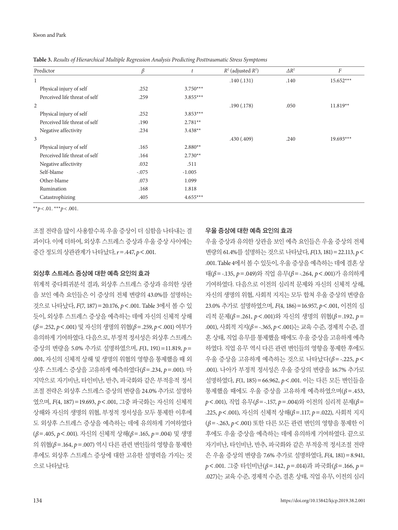| Predictor                     | $\beta$ | t          | $R^2$ (adjusted $R^2$ ) | $\Delta R^2$ | $\cal F$    |
|-------------------------------|---------|------------|-------------------------|--------------|-------------|
| 1                             |         |            | .140(.131)              | .140         | $15.652***$ |
| Physical injury of self       | .252    | $3.750***$ |                         |              |             |
| Perceived life threat of self | .259    | $3.855***$ |                         |              |             |
| 2                             |         |            | .190(.178)              | .050         | $11.819**$  |
| Physical injury of self       | .252    | $3.853***$ |                         |              |             |
| Perceived life threat of self | .190    | $2.781**$  |                         |              |             |
| Negative affectivity          | .234    | $3.438**$  |                         |              |             |
| 3                             |         |            | .430(.409)              | .240         | $19.693***$ |
| Physical injury of self       | .165    | $2.880**$  |                         |              |             |
| Perceived life threat of self | .164    | $2.730**$  |                         |              |             |
| Negative affectivity          | .032    | .511       |                         |              |             |
| Self-blame                    | $-.075$ | $-1.005$   |                         |              |             |
| Other-blame                   | .073    | 1.099      |                         |              |             |
| Rumination                    | .168    | 1.818      |                         |              |             |
| Catastrophizing               | .405    | $4.655***$ |                         |              |             |

**Table 3.** *Results of Hierarchical Multiple Regression Analysis Predicting Posttraumatic Stress Symptoms*

\*\**p* < .01. \*\*\**p* < .001.

조절 전략을 많이 사용할수록 우울 증상이 더 심함을 나타내는 결 과이다. 이에 더하여, 외상후 스트레스 증상과 우울 증상 사이에는 중간정도의상관관계가나타났다, *r*=.447, *p*<.001.

## 외상후 스트레스 증상에 대한 예측 요인의 효과

위계적 중다회귀분석 결과, 외상후 스트레스 증상과 유의한 상관 을 보인 예측 요인들은 이 증상의 전체 변량의 43.0%를 설명하는 것으로 나타났다, *F*(7, 187)=20.176, *p*<.001. Table 3에서 볼 수 있 듯이, 외상후 스트레스 증상을 예측하는 데에 자신의 신체적 상해 (*β*=.252, *p*<.001) 및 자신의 생명의 위협(*β*=.259, *p*<.001) 여부가 유의하게 기여하였다. 다음으로, 부정적 정서성은 외상후 스트레스 증상의 변량을 5.0% 추가로 설명하였으며, *F*(1, 191)=11.819, *p*= .001, 자신의 신체적 상해 및 생명의 위협의 영향을 통제했을 때 외 상후 스트레스 증상을 고유하게 예측하였다(*β*=.234, *p*=.001). 마 지막으로 자기비난, 타인비난, 반추, 파국화와 같은 부적응적 정서 조절 전략은 외상후 스트레스 증상의 변량을 24.0% 추가로 설명하 였으며, *F*(4, 187)=19.693, *p*<.001, 그중 파국화는 자신의 신체적 상해와 자신의 생명의 위협, 부정적 정서성을 모두 통제한 이후에 도 외상후 스트레스 증상을 예측하는 데에 유의하게 기여하였다 (*β*=.405, *p*<.001). 자신의 신체적 상해(*β*=.165, *p*=.004) 및 생명 의 위협(*β*=.164, *p*=.007) 역시 다른 관련 변인들의 영향을 통제한 후에도 외상후 스트레스 증상에 대한 고유한 설명력을 가지는 것 으로나타났다.

## 우울 증상에 대한 예측 요인의 효과

우울 증상과 유의한 상관을 보인 예측 요인들은 우울 증상의 전체 변량의 61.4%를 설명하는 것으로 나타났다, *F*(13, 181)=22.113, *p*< .001. Table 4에서볼수있듯이, 우울증상을예측하는데에결혼상 태(*β*=-.135, *p*=.049)와 직업 유무(*β*=-.264, *p*<.001)가 유의하게 기여하였다. 다음으로 이전의 심리적 문제와 자신의 신체적 상해, 자신의 생명의 위협, 사회적 지지는 모두 합쳐 우울 증상의 변량을 23.0% 추가로 설명하였으며, *F*(4, 186)=16.957, *p*<.001, 이전의 심 리적 문제(*β*=.261, *p*<.001)와 자신의 생명의 위협(*β*=.192, *p*= .001), 사회적 지지(*β*=-.365, *p*<.001)는 교육 수준, 경제적 수준, 결 혼 상태, 직업 유무를 통제했을 때에도 우울 증상을 고유하게 예측 하였다. 직업 유무 역시 다른 관련 변인들의 영향을 통제한 후에도 우울 증상을 고유하게 예측하는 것으로 나타났다(*β*=-.225, *p*< .001). 나아가 부정적 정서성은 우울 증상의 변량을 16.7% 추가로 설명하였다, *F*(1, 185)=66.962, *p*<.001. 이는 다른 모든 변인들을 통제했을 때에도 우울 증상을 고유하게 예측하였으며(*β*=.453, *p*<.001), 직업 유무(*β*=-.157, *p*=.004)와 이전의 심리적 문제(*β*= .225, *p*<.001), 자신의 신체적 상해(*β*=.117, *p*=.022), 사회적 지지 (*β*=-.263, *p*<.001) 또한 다른 모든 관련 변인의 영향을 통제한 이 후에도 우울 증상을 예측하는 데에 유의하게 기여하였다. 끝으로 자기비난, 타인비난, 반추, 파국화와 같은 부적응적 정서조절 전략 은 우울 증상의 변량을 7.6% 추가로 설명하였다, *F*(4, 181)=8.941, *p*<.001. 그중 타인비난(*β*=.142, *p*=.014)과 파국화(*β*=.166, *p*= .027)는 교육 수준, 경제적 수준, 결혼 상태, 직업 유무, 이전의 심리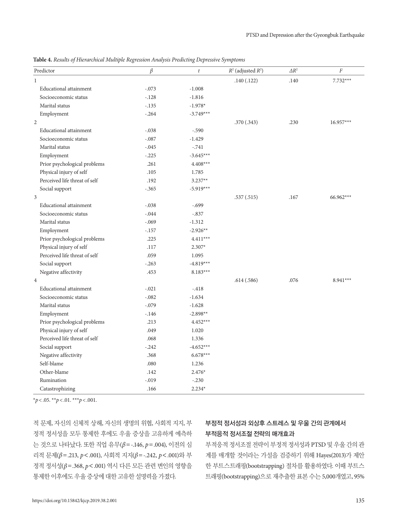**Table 4.** *Results of Hierarchical Multiple Regression Analysis Predicting Depressive Symptoms*

| Predictor                     | $\beta$  | $\boldsymbol{t}$ | $R^2$ (adjusted $R^2$ ) | $\Delta R^2$ | $\cal F$   |
|-------------------------------|----------|------------------|-------------------------|--------------|------------|
| $\mathbf{1}$                  |          |                  | .140(.122)              | .140         | $7.732***$ |
| Educational attainment        | $-.073$  | $-1.008$         |                         |              |            |
| Socioeconomic status          | $-.128$  | $-1.816$         |                         |              |            |
| Marital status                | $-.135$  | $-1.978*$        |                         |              |            |
| Employment                    | $-.264$  | $-3.749***$      |                         |              |            |
| $\overline{2}$                |          |                  | .370(.343)              | .230         | 16.957***  |
| <b>Educational attainment</b> | $-.038$  | $-.590$          |                         |              |            |
| Socioeconomic status          | $-.087$  | $-1.429$         |                         |              |            |
| Marital status                | $-.045$  | $-.741$          |                         |              |            |
| Employment                    | $-.225$  | $-3.645***$      |                         |              |            |
| Prior psychological problems  | .261     | $4.408***$       |                         |              |            |
| Physical injury of self       | .105     | 1.785            |                         |              |            |
| Perceived life threat of self | .192     | $3.237**$        |                         |              |            |
| Social support                | $-.365$  | $-5.919***$      |                         |              |            |
| $\overline{3}$                |          |                  | .537(.515)              | .167         | 66.962***  |
| <b>Educational attainment</b> | $-.038$  | $-.699$          |                         |              |            |
| Socioeconomic status          | $-.044$  | $-.837$          |                         |              |            |
| Marital status                | $-.069$  | $-1.312$         |                         |              |            |
| Employment                    | $-.157$  | $-2.926**$       |                         |              |            |
| Prior psychological problems  | .225     | $4.411***$       |                         |              |            |
| Physical injury of self       | .117     | $2.307*$         |                         |              |            |
| Perceived life threat of self | .059     | 1.095            |                         |              |            |
| Social support                | $-.263$  | $-4.819***$      |                         |              |            |
| Negative affectivity          | .453     | $8.183***$       |                         |              |            |
| $\overline{4}$                |          |                  | .614(.586)              | .076         | $8.941***$ |
| Educational attainment        | $-.021$  | $-418$           |                         |              |            |
| Socioeconomic status          | $-.082$  | $-1.634$         |                         |              |            |
| Marital status                | $-.079$  | $-1.628$         |                         |              |            |
| Employment                    | $-.146$  | $-2.898**$       |                         |              |            |
| Prior psychological problems  | .213     | $4.452***$       |                         |              |            |
| Physical injury of self       | .049     | 1.020            |                         |              |            |
| Perceived life threat of self | .068     | 1.336            |                         |              |            |
| Social support                | $-.242$  | $-4.652***$      |                         |              |            |
| Negative affectivity          | .368     | $6.678***$       |                         |              |            |
| Self-blame                    | .080     | 1.236            |                         |              |            |
| Other-blame                   | .142     | $2.476*$         |                         |              |            |
| Rumination                    | $-0.019$ | $-.230$          |                         |              |            |
| Catastrophizing               | .166     | $2.234*$         |                         |              |            |

\**p*< .05. \*\**p*< .01. \*\*\**p*< .001.

적 문제, 자신의 신체적 상해, 자신의 생명의 위협, 사회적 지지, 부 정적 정서성을 모두 통제한 후에도 우울 증상을 고유하게 예측하 는 것으로 나타났다. 또한 직업 유무(*β*=-.146, *p*=.004), 이전의 심 리적 문제(*β*=.213, *p*<.001), 사회적 지지(*β*=-.242, *p*<.001)와 부 정적 정서성(*β*=.368, *p*<.001) 역시 다른 모든 관련 변인의 영향을 통제한이후에도우울증상에대한고유한설명력을가졌다.

# 부정적 정서성과 외상후 스트레스 및 우울 간의 관계에서 부적응적 정서조절 전략의 매개효과

부적응적 정서조절 전략이 부정적 정서성과 PTSD 및 우울 간의 관 계를 매개할 것이라는 가설을 검증하기 위해 Hayes(2013)가 제안 한 부트스트래핑(bootstrapping) 절차를 활용하였다. 이때 부트스 트래핑(bootstrapping)으로 재추출한 표본 수는 5,000개였고, 95%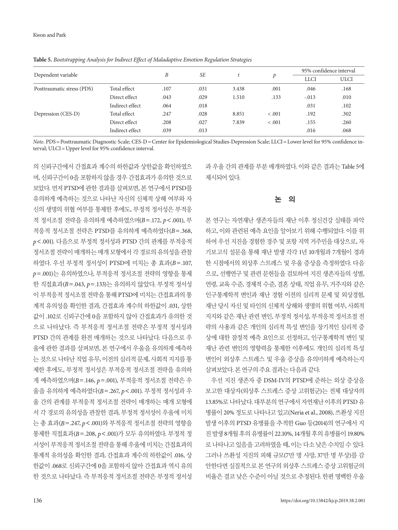Dependent variable *B SE t p* 95% confidence interval LLCI ULCI Posttraumatic stress (PDS) Total effect .107 .031 3.438 .001 .046 .168 010. 133 .0143 .029 1.510 .013 .010 Indirect effect .064 .018 .031 .102 Depression (CES-D) Total effect .247 .028 8.851 < .001 .192 .302 Direct effect .208 .027 7.839 < .001 .155 .260 Indirect effect .039 .013 .016 .068

**Table 5.** *Bootstrapping Analysis for Indirect Effect of Maladaptive Emotion Regulation Strategies* 

*Note*. PDS = Posttraumatic Diagnostic Scale; CES-D = Center for Epidemiological Studies-Depression Scale; LLCI = Lower level for 95% confidence interval; ULCI = Upper level for 95% confidence interval.

의 신뢰구간에서 간접효과 계수의 하한값과 상한값을 확인하였으 며, 신뢰구간이 0을 포함하지 않을 경우 간접효과가 유의한 것으로 보았다. 먼저 PTSD에 관한 결과를 살펴보면, 본 연구에서 PTSD를 유의하게 예측하는 것으로 나타난 자신의 신체적 상해 여부와 자 신의 생명의 위협 여부를 통제한 후에도, 부정적 정서성은 부적응 적 정서조절 전략을 유의하게 예측하였으며(*B*=.172, *p*<.001), 부 적응적 정서조절 전략은 PTSD를 유의하게 예측하였다(*B*=.368, *p*<.001). 다음으로 부정적 정서성과 PTSD 간의 관계를 부적응적 정서조절 전략이 매개하는 매개 모형에서 각 경로의 유의성을 관찰 하였다. 우선 부정적 정서성이 PTSD에 미치는 총 효과(*B*=.107, *p*=.001)는 유의하였으나, 부적응적 정서조절 전략의 영향을 통제 한 직접효과(*B*=.043, *p*=.133)는 유의하지 않았다. 부정적 정서성 이 부적응적 정서조절 전략을 통해 PTSD에 미치는 간접효과의 통 계적 유의성을 확인한 결과, 간접효과 계수의 하한값이 .031, 상한 값이 .102로 신뢰구간에 0을 포함하지 않아 간접효과가 유의한 것 으로 나타났다. 즉 부적응적 정서조절 전략은 부정적 정서성과 PTSD 간의 관계를 완전 매개하는 것으로 나타났다. 다음으로 우 울에 관한 결과를 살펴보면, 본 연구에서 우울을 유의하게 예측하 는 것으로 나타난 직업 유무, 이전의 심리적 문제, 사회적 지지를 통 제한 후에도, 부정적 정서성은 부적응적 정서조절 전략을 유의하 게 예측하였으며(*B*=.146, *p*=.001), 부적응적 정서조절 전략은 우 울을 유의하게 예측하였다(*B*=.267, *p*<.001). 부정적 정서성과 우 울 간의 관계를 부적응적 정서조절 전략이 매개하는 매개 모형에 서 각 경로의 유의성을 관찰한 결과, 부정적 정서성이 우울에 미치 는 총 효과(*B*=.247, *p*<.001)와 부적응적 정서조절 전략의 영향을 통제한 직접효과(*B*=.208, *p*<.001)가 모두 유의하였다. 부정적 정 서성이 부적응적 정서조절 전략을 통해 우울에 미치는 간접효과의 통계적 유의성을 확인한 결과, 간접효과 계수의 하한값이 .016, 상 한값이 .068로 신뢰구간에 0을 포함하지 않아 간접효과 역시 유의 한 것으로 나타났다. 즉 부적응적 정서조절 전략은 부정적 정서성 과 우울 간의 관계를 부분 매개하였다. 이와 같은 결과는 Table 5에 제시되어 있다.

## 논 의

본 연구는 자연재난 생존자들의 재난 이후 정신건강 실태를 파악 하고, 이와 관련된 예측 요인을 알아보기 위해 수행되었다. 이를 위 하여 우선 지진을 경험한 경주 및 포항 지역 거주민을 대상으로, 자 기보고식 설문을 통해 재난 발생 각각 1년 10개월과 7개월이 경과 한 시점에서의 외상후 스트레스 및 우울 증상을 측정하였다. 다음 으로, 선행연구 및 관련 문헌들을 검토하여 지진 생존자들의 성별, 연령, 교육 수준, 경제적 수준, 결혼 상태, 직업 유무, 거주지와 같은 인구통계학적 변인과 재난 경험 이전의 심리적 문제 및 외상경험, 재난 당시 자신 및 타인의 신체적 상해와 생명의 위협 여부, 사회적 지지와 같은 재난 관련 변인, 부정적 정서성, 부적응적 정서조절 전 략의 사용과 같은 개인의 심리적 특성 변인을 장기적인 심리적 증 상에 대한 잠정적 예측 요인으로 선정하고, 인구통계학적 변인 및 재난 관련 변인의 영향력을 통제한 이후에도 개인의 심리적 특성 변인이 외상후 스트레스 및 우울 증상을 유의미하게 예측하는지 살펴보았다. 본연구의주요결과는다음과같다.

우선 지진 생존자 중 DSM-IV의 PTSD에 준하는 외상 증상을 보고한 대상자(외상후 스트레스 증상 고위험군)는 전체 대상자의 13.85%로 나타났다. 대부분의 연구에서 자연재난 이후의 PTSD 유 병률이 20% 정도로 나타나고 있고(Neria et al., 2008), 쓰촨성 지진 발생 이후의 PTSD 유병률을 추적한 Guo 등(2014)의 연구에서 지 진발생 8개월후의유병률이 22.10%, 14개월후의유병률이 19.80% 로 나타나고 있음을 고려하였을 때, 이는 다소 낮은 수치일 수 있다. 그러나 쓰촨성 지진의 피해 규모(7만 명 사망, 37만 명 부상)를 감 안한다면 실질적으로 본 연구의 외상후 스트레스 증상 고위험군의 비율은 결코 낮은 수준이 아닐 것으로 추정된다. 한편 명백한 우울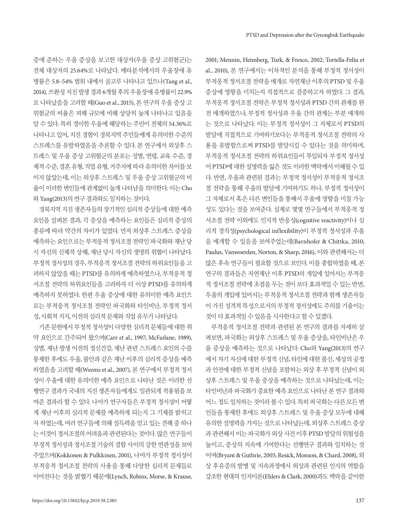증에 준하는 우울 증상을 보고한 대상자(우울 증상 고위험군)는 전체 대상자의 25.64%로 나타났다. 메타분석에서의 우울장애 유 병률은 5.8–54% 범위 내에서 골고루 나타나고 있으나(Tang et al., 2014), 쓰촨성지진발생경과 6개월후의우울장애유병률이 22.9% 로 나타났음을 고려할 때(Guo et al., 2015), 본 연구의 우울 증상 고 위험군의 비율은 피해 규모에 비해 상당히 높게 나타나고 있음을 알 수 있다. 특히 경미한 우울에 해당하는 주민이 전체의 54.36%로 나타나고 있어, 지진 경험이 경북지역 주민들에게 유의미한 수준의 스트레스를 유발하였음을 추론할 수 있다. 본 연구에서 외상후 스 트레스 및 우울 증상 고위험군의 분포는 성별, 연령, 교육 수준, 경 제적수준, 결혼유형, 직업유형, 거주지에따라유의미한차이를보 이지 않았는데, 이는 외상후 스트레스 및 우울 증상 고위험군의 비 율이 이러한 변인들에 관계없이 높게 나타남을 의미한다. 이는 Cho 와 Yang(2013)의 연구 결과와도 일치하는 것이다.

경북지역 지진 생존자들의 장기적인 심리적 증상들에 대한 예측 요인을 살펴본 결과, 각 증상을 예측하는 요인들은 심리적 증상의 종류에 따라 약간의 차이가 있었다. 먼저 외상후 스트레스 증상을 예측하는 요인으로는 부적응적 정서조절 전략인 파국화와 재난 당 시 자신의 신체적 상해, 재난 당시 자신의 생명의 위협이 나타났다. 부정적 정서성의 경우, 부적응적 정서조절 전략의 하위요인들을 고 려하지 않았을 때는 PTSD를 유의하게 예측하였으나, 부적응적 정 서조절 전략의 하위요인들을 고려하자 더 이상 PTSD를 유의하게 예측하지 못하였다. 한편 우울 증상에 대한 유의미한 예측 요인으 로는 부적응적 정서조절 전략인 파국화와 타인비난, 부정적 정서 성, 사회적 지지, 이전의 심리적 문제와 직업 유무가 나타났다.

기존문헌에서부정적정서성이다양한심리적문제들에대한취 약 요인으로 간주되어 왔으며(Carr et al., 1997; McFarlane, 1989), 성별, 재난 발생 이전의 정신건강, 재난 관련 스트레스 요인의 수를 통제한 후에도 우울, 불안과 같은 재난 이후의 심리적 증상을 예측 하였음을 고려할 때(Weems et al., 2007), 본 연구에서 부정적 정서 성이 우울에 대한 유의미한 예측 요인으로 나타난 것은 이러한 선 행연구 결과가 국내의 지진 생존자들에게도 일관되게 적용됨을 보 여준 결과라 할 수 있다. 나아가 연구자들은 부정적 정서성이 어떻 게 재난 이후의 심리적 문제를 예측하게 되는지 그 기제를 밝히고 자 하였는데, 여러 연구들에 의해 설득력을 얻고 있는 견해 중 하나 는 이것이 정서조절의 어려움과 관련된다는 것이다. 많은 연구들이 부정적 정서성과 정서조절 기술의 결함 사이의 강한 연관성을 보여 주었으며(Kokkonen & Pulkkinen, 2001), 나아가 부정적 정서성이 부적응적 정서조절 전략의 사용을 통해 다양한 심리적 문제들로 이어진다는 것을 밝혔기 때문에(Lynch, Robins, Morse, & Krause, 2001; Mennin, Heimberg, Turk, & Fresco, 2002; Tortella-Feliu et al., 2010), 본 연구에서는 이차적인 분석을 통해 부정적 정서성이 부적응적 정서조절 전략을 매개로 자연재난 이후의 PTSD 및 우울 증상에 영향을 미치는지 직접적으로 검증하고자 하였다. 그 결과, 부적응적 정서조절 전략은 부정적 정서성과 PTSD 간의 관계를 완 전 매개하였으나, 부정적 정서성과 우울 간의 관계는 부분 매개하 는 것으로 나타났다. 이는 부정적 정서성이 그 자체로서 PTSD의 발달에 직접적으로 기여하기보다는 부적응적 정서조절 전략의 사 용을 유발함으로써 PTSD를 발달시킬 수 있다는 것을 의미하며, 부적응적 정서조절 전략의 하위요인들이 투입되자 부정적 정서성 이 PTSD에 대한 설명력을 잃은 것도 이러한 맥락에서 이해될 수 있 다. 반면, 우울과 관련된 결과는 부정적 정서성이 부적응적 정서조 절 전략을 통해 우울의 발달에 기여하기도 하나, 부정적 정서성이 그 자체로서 혹은 다른 변인들을 통해서 우울에 영향을 미칠 가능 성도 있다는 것을 보여준다. 실제로 몇몇 연구들에서 부적응적 정 서조절 전략 이외에도 인지적 반응성(cognitive reactivity)이나 심 리적 경직성(psychological inflexibility)이 부정적 정서성과 우울 을 매개할 수 있음을 보여주었는데(Barnhofer & Chittka, 2010; Paulus, Vanwoerden, Norton, & Sharp, 2016), 이와 관련해서는 더 많은 후속 연구들이 필요할 것으로 보인다. 이를 종합하였을 때, 본 연구의 결과들은 자연재난 이후 PTSD의 개입에 있어서는 부적응 적 정서조절 전략에 초점을 두는 것이 보다 효과적일 수 있는 반면, 우울의 개입에 있어서는 부적응적 정서조절 전략과 함께 생존자들 이 가진 성격적 특성으로서의 부정적 정서성에도 주의를 기울이는 것이더효과적일수있음을시사한다고할수있겠다.

부적응적 정서조절 전략과 관련된 본 연구의 결과를 자세히 살 펴보면, 파국화는 외상후 스트레스 및 우울 증상을, 타인비난은 우 울 증상을 예측하는 것으로 나타났다. Cho와 Yang(2013)의 연구 에서 자기 자신에 대한 부정적 신념, 타인에 대한 불신, 세상의 공정 과 안전에 대한 부정적 신념을 포함하는 외상 후 부정적 신념이 외 상후 스트레스 및 우울 증상을 예측하는 것으로 나타났는데, 이는 타인비난과 파국화가 중요한 예측 요인으로 나타난 본 연구 결과와 어느정도일치하는것이라볼수있다. 특히파국화는다른모든변 인들을 통제한 후에도 외상후 스트레스 및 우울 증상 모두에 대해 유의한설명력을가지는것으로나타났는데, 외상후스트레스증상 과 관련해서 이는 파국화가 외상 사건 이후 PTSD 발달의 위험성을 높이고, 증상의 지속에 기여한다는 선행연구 결과와 일치하는 것 이며(Bryant & Guthrie, 2005; Resick, Monson, & Chard, 2008), 외 상 후유증의 발병 및 지속과정에서 외상과 관련된 인지의 역할을 강조한 현대의 인지이론(Ehlers & Clark, 2000)과도 맥락을 같이한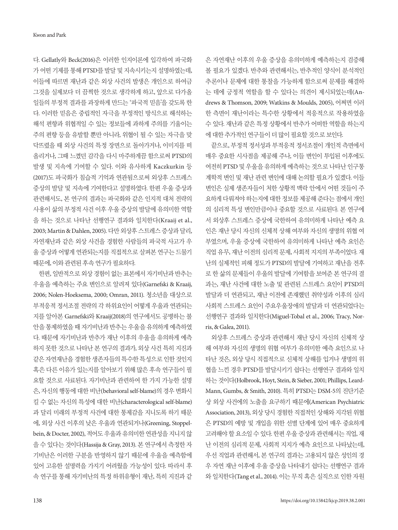다. Gellatly와 Beck(2016)은 이러한 인지이론에 입각하여 파국화 가 어떤 기제를 통해 PTSD를 발달 및 지속시키는지 설명하였는데, 이들에 따르면 재난과 같은 외상 사건의 발생은 개인으로 하여금 그것을 실제보다 더 끔찍한 것으로 생각하게 하고, 앞으로 다가올 일들의 부정적 결과를 과장하게 만드는 '파국적 믿음'을 갖도록 한 다. 이러한 믿음은 중립적인 자극을 부정적인 방식으로 해석하는 해석 편향과 위협적일 수 있는 정보들에 과하게 주의를 기울이는 주의 편향 등을 유발할 뿐만 아니라, 위협이 될 수 있는 자극을 맞 닥뜨렸을 때 외상 사건의 특정 장면으로 돌아가거나, 이미지를 떠 올리거나, 그때 느꼈던 감각을 다시 마주하게끔 함으로써 PTSD의 발생 및 지속에 기여할 수 있다. 이와 유사하게 Kaczkurkin 등 (2017)도 파국화가 침습적 기억과 연관됨으로써 외상후 스트레스 증상의 발달 및 지속에 기여한다고 설명하였다. 한편 우울 증상과 관련해서도, 본 연구의 결과는 파국화와 같은 인지적 대처 전략의 사용이 삶의 부정적 사건 이후 우울 증상의 발달에 유의미한 역할 을 하는 것으로 나타난 선행연구 결과와 일치한다(Kraaij et al., 2003; Martin & Dahlen, 2005). 다만 외상후 스트레스 증상과 달리, 자연재난과 같은 외상 사건을 경험한 사람들의 파국적 사고가 우 울 증상과 어떻게 연관되는지를 직접적으로 살펴본 연구는 드물기 때문에, 이와관련된후속연구가필요하다.

한편, 일반적으로 외상 경험이 없는 표본에서 자기비난과 반추는 우울을 예측하는 주요 변인으로 알려져 있다(Garnefski & Kraaij, 2006; Nolen-Hoeksema, 2000; Omran, 2011). 청소년을 대상으로 부적응적 정서조절 전략의 각 하위요인이 어떻게 우울과 연관되는 지를 알아본 Garnefski와 Kraaij(2018)의 연구에서도 공병하는 불 안을 통제하였을 때 자기비난과 반추는 우울을 유의하게 예측하였 다. 때문에 자기비난과 반추가 재난 이후의 우울을 유의하게 예측 하지 못한 것으로 나타난 본 연구의 결과가, 외상 사건 특히 지진과 같은 자연재난을 경험한 생존자들의 특수한 특성으로 인한 것인지 혹은 다른 이유가 있는지를 알아보기 위해 많은 후속 연구들이 필 요할 것으로 사료된다. 자기비난과 관련하여 한 가지 가능한 설명 은, 자신의 행동에 대한 비난(behavioral self-blame)의 경우 변화시 킬 수 없는 자신의 특성에 대한 비난(characterological self-blame) 과 달리 미래의 부정적 사건에 대한 통제감을 지니도록 하기 때문 에, 외상 사건 이후의 낮은 우울과 연관되거나(Greening, Stoppelbein, & Docter, 2002), 적어도 우울과 유의미한 연관성을 지니지 않 을 수 있다는 것이다(Hassija & Gray, 2013). 본 연구에서 측정한 자 기비난은 이러한 구분을 반영하지 않기 때문에 우울을 예측함에 있어 고유한 설명력을 가지기 어려웠을 가능성이 있다. 따라서 후 속 연구를 통해 자기비난의 특정 하위유형이 재난, 특히 지진과 같 은 자연재난 이후의 우울 증상을 유의미하게 예측하는지 검증해 볼 필요가 있겠다. 반추와 관련해서는, 반추적인 양식이 분석적인 추론이나 문제에 대한 통찰을 가능하게 함으로써 문제를 해결하 는 데에 긍정적 역할을 할 수 있다는 의견이 제시되었는데(Andrews & Thomson, 2009; Watkins & Moulds, 2005), 어쩌면 이러 한 측면이 재난이라는 특수한 상황에서 적응적으로 작용하였을 수 있다. 재난과 같은 특정 상황에서 반추가 어떠한 역할을 하는지 에 대한 추가적인 연구들이 더 많이 필요할 것으로 보인다.

끝으로, 부정적 정서성과 부적응적 정서조절이 개인적 측면에서 매우 중요한 시사점을 제공해 주나, 이들 변인이 투입된 이후에도 여전히 PTSD 및 우울을 유의하게 예측하는 것으로 나타난 인구통 계학적 변인 및 재난 관련 변인에 대해 논의할 필요가 있겠다. 이들 변인은 실제 생존자들이 처한 상황적 맥락 안에서 어떤 것들이 주 요하게 다뤄져야 하는지에 대한 정보를 제공해 준다는 점에서 개인 의 심리적 특성 변인만큼이나 중요할 것으로 사료된다. 본 연구에 서 외상후 스트레스 증상에 국한하여 유의미하게 나타난 예측 요 인은 재난 당시 자신의 신체적 상해 여부와 자신의 생명의 위협 여 부였으며, 우울 증상에 국한하여 유의미하게 나타난 예측 요인은 직업 유무, 재난 이전의 심리적 문제, 사회적 지지의 부족이었다. 재 난의 실제적인 피해 정도가 PTSD의 발달에 기여하고 재난을 전후 로 한 삶의 문제들이 우울의 발달에 기여함을 보여준 본 연구의 결 과는, 재난 사건에 대한 노출 및 관련된 스트레스 요인이 PTSD의 발달과 더 연관되고, 재난 이전에 존재했던 취약성과 이후의 심리 사회적 스트레스 요인이 주요우울장애의 발달과 더 연관되었다는 선행연구 결과와 일치한다(Miguel‐Tobal et al., 2006; Tracy, Norris, & Galea, 2011).

외상후 스트레스 증상과 관련해서 재난 당시 자신의 신체적 상 해 여부와 자신의 생명의 위협 여부가 유의미한 예측 요인으로 나 타난 것은, 외상 당시 직접적으로 신체적 상해를 입거나 생명의 위 협을 느낀 경우 PTSD를 발달시키기 쉽다는 선행연구 결과와 일치 하는 것이다(Holbrook, Hoyt, Stein, & Sieber, 2001; Phillips, Leard-Mann, Gumbs, & Smith, 2010). 특히 PTSD는 DSM-5의 진단기준 상 외상 사건에의 노출을 요구하기 때문에(American Psychiatric Association, 2013), 외상 당시 경험한 직접적인 상해와 지각된 위협 은 PTSD의 예방 및 개입을 위한 선별 단계에 있어 매우 중요하게 고려해야 할 요소일 수 있다. 한편 우울 증상과 관련해서는 직업, 재 난 이전의 심리적 문제, 사회적 지지가 예측 요인으로 나타났는데, 우선 직업과 관련해서, 본 연구의 결과는 고용되지 않은 성인의 경 우 자연 재난 이후에 우울 증상을 나타내기 쉽다는 선행연구 결과 와 일치한다(Tang et al., 2014). 이는 무직 혹은 실직으로 인한 자원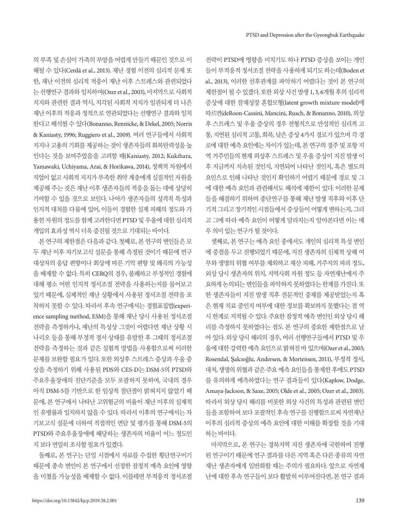의 부족 및 손실이 가족의 부양을 어렵게 만들기 때문인 것으로 이 해될 수 있다(Cerdá et al., 2013). 재난 경험 이전의 심리적 문제 또 한, 재난 이전의 심리적 적응이 재난 이후 스트레스와 관련되었다 는 선행연구 결과와 일치하며(Ozer et al., 2003), 마지막으로 사회적 지지와 관련한 결과 역시, 지각된 사회적 지지가 일관되게 더 나은 재난 이후의 적응과 정적으로 연관되었다는 선행연구 결과와 일치 한다고 해석될 수 있다(Bonanno, Rennicke, & Dekel, 2005; Norris & Kaniasty, 1996; Ruggiero et al., 2009). 여러 연구들에서 사회적 지지나 고용의 기회를 제공하는 것이 생존자들의 회복탄력성을 높 인다는 것을 보여주었음을 고려할 때(Kaniasty, 2012; Kukihara, Yamawaki, Uchiyama, Arai, & Horikawa, 2014), 정책적 차원에서 직업이 없고 사회적 지지가 부족한 취약 계층에게 실질적인 자원을 제공해 주는 것은 재난 이후 생존자들의 적응을 돕는 데에 상당히 기여할 수 있을 것으로 보인다. 나아가 생존자들의 성격적 특성과 인지적 대처를 다룸에 있어, 이들이 경험한 실제 피해의 정도와 가 용한 자원의 정도를 함께 고려한다면 PTSD 및 우울에 대한 심리적 개입의효과성역시더욱증진될것으로기대되는바이다.

본 연구의 제한점은 다음과 같다. 첫째로, 본 연구의 변인들은 모 두 재난 이후 자기보고식 설문을 통해 측정된 것이기 때문에 연구 대상자의 응답 편향이나 회상에 따른 기억 편향 및 왜곡의 가능성 을 배제할 수 없다. 특히 CERQ의 경우, 불쾌하고 부정적인 경험에 대해 평소 어떤 인지적 정서조절 전략을 사용하는지를 물어보고 있기 때문에, 실제적인 재난 상황에서 사용된 정서조절 전략을 포 착하지 못할 수 있다. 따라서 후속 연구에서는 경험표집법(experience sampling method, ESM)을 통해 재난 당시 사용된 정서조절 전략을 측정하거나, 재난의 특성상 그것이 어렵다면 재난 상황 시 나리오 등을 통해 부정적 정서 상태를 유발한 후 그때의 정서조절 전략을 측정하는 것과 같은 실험적 방법을 사용함으로써 이러한 문제를 보완할 필요가 있다. 또한 외상후 스트레스 증상과 우울 증 상을 측정하기 위해 사용된 PDS와 CES-D는 DSM-5의 PTSD와 주요우울장애의 진단기준을 모두 포괄하지 못하며, 국내의 경우 아직 DSM-5를 기반으로 한 임상적 절단점이 밝혀지지 않았기 때 문에, 본 연구에서 나타난 고위험군의 비율이 재난 이후의 실제적 인 유병률과 일치하지 않을 수 있다. 따라서 이후의 연구에서는 자 기보고식 설문에 더하여 직접적인 면담 및 평가를 통해 DSM-5의 PTSD와 주요우울장애에 해당하는 생존자의 비율이 어느 정도인 지 보다 면밀히 조사할 필요가 있겠다.

둘째로, 본 연구는 단일 시점에서 자료를 수집한 횡단연구이기 때문에 종속 변인이 본 연구에서 선정한 잠정적 예측 요인에 영향 을 미쳤을 가능성을 배제할 수 없다. 이를테면 부적응적 정서조절

전략이 PTSD에 영향을 미치기도 하나 PTSD 증상을 보이는 개인 들이 부적응적 정서조절 전략을 사용하게 되기도 하는데(Boden et al., 2013), 이러한 선후관계를 파악하기 어렵다는 것이 본 연구의 제한점이 될 수 있겠다. 또한 외상 사건 발생 1, 3, 6개월 후의 심리적 증상에 대한 잠재성장 혼합모형(latent growth mixture model)에 따르면(deRoon-Cassini, Mancini, Rusch, & Bonanno, 2010), 외상 후 스트레스 및 우울 증상의 경우 전형적으로 만성적인 심리적 고 통, 지연된 심리적 고통, 회복, 낮은 증상 4가지 경로가 있으며 각 경 로에 대한 예측 요인에는 차이가 있는데, 본 연구의 경주 및 포항 지 역 거주민들의 현재 외상후 스트레스 및 우울 증상이 지진 발생 이 후 지금까지 지속된 것인지, 지연되어 나타난 것인지, 혹은 별도의 요인으로 인해 나타난 것인지 확인하기 어렵기 때문에 경로 및 그 에 대한 예측 요인과 관련해서도 해석에 제한이 있다. 이러한 문제 들을 해결하기 위하여 종단연구를 통해 재난 발생 직후와 이후 단 기적 그리고 장기적인 시점들에서 증상들이 어떻게 변하는지, 그리 고 그에 따라 예측 요인이 어떻게 달라지는지 알아본다면 이는 매 우 의미 있는 연구가 될 것이다.

셋째로, 본 연구는 예측 요인 중에서도 개인의 심리적 특성 변인 에 중점을 두고 진행되었기 때문에, 지진 생존자의 신체적 상해 여 부와 생명의 위협 여부를 제외하고 재산 피해, 거주지의 파괴 정도, 외상 당시 생존자의 위치, 지역사회 자원 정도 등 자연재난에서 주 요하게 논의되는 변인들을 파악하지 못하였다는 한계를 가진다. 또 한 생존자들이 지진 발생 직후 전문적인 중재를 제공받았는지 혹 은 현재 치료 중인지 여부에 대한 정보를 확보하지 못했다는 점 역 시 한계로 지적될 수 있다. 주요한 잠정적 예측 변인인 외상 당시 해 리를 측정하지 못하였다는 점도 본 연구의 중요한 제한점으로 남 아 있다. 외상 당시 해리의 경우, 여러 선행연구들에서 PTSD 및 우 울에대한강력한예측요인으로밝혀진바있으며(Ozer et al., 2003; Rosendal, Şalcıoğlu, Andersen, & Mortensen, 2011), 부정적 정서, 대처, 생명의위협과같은주요예측요인들을통제한후에도 PTSD 를 유의하게 예측하였다는 연구 결과들이 있다(Kaplow, Dodge, Amaya-Jackson, & Saxe, 2005; Olde et al., 2005; Ozer et al., 2003). 따라서 외상 당시 해리를 비롯한 외상 사건의 특성과 관련된 변인 들을 포함하여 보다 포괄적인 후속 연구를 진행함으로써 자연재난 이후의 심리적 증상의 예측 요인에 대한 이해를 확장할 것을 기대 하는바이다.

마지막으로, 본 연구는 경북지역 지진 생존자에 국한하여 진행 된 연구이기 때문에 연구 결과를 다른 지역 혹은 다른 종류의 자연 재난 생존자에게 일반화할 때는 주의가 필요하다. 앞으로 자연재 난에 대한 후속 연구들이 보다 활발히 이루어진다면, 본 연구 결과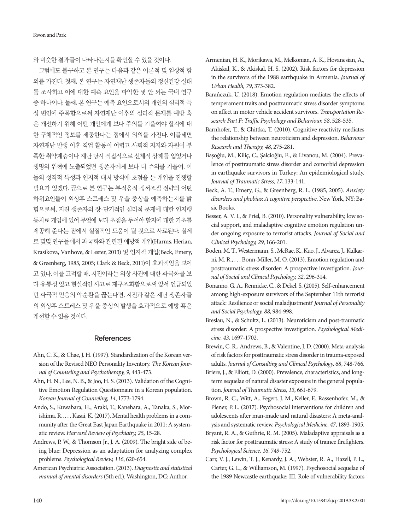와비슷한결과들이나타나는지를확인할수있을것이다.

그럼에도 불구하고 본 연구는 다음과 같은 이론적 및 임상적 함 의를 가진다. 첫째, 본 연구는 자연재난 생존자들의 정신건강 실태 를 조사하고 이에 대한 예측 요인을 파악한 몇 안 되는 국내 연구 중 하나이다. 둘째, 본 연구는 예측 요인으로서의 개인의 심리적 특 성 변인에 주목함으로써 자연재난 이후의 심리적 문제를 예방 혹 은 개선하기 위해 어떤 개인에게 보다 주의를 기울여야 할지에 대 한 구체적인 정보를 제공한다는 점에서 의의를 가진다. 이를테면 자연재난 발생 이후 직업 활동이 어렵고 사회적 지지와 자원이 부 족한 취약계층이나 재난 당시 직접적으로 신체적 상해를 입었거나 생명의 위협에 노출되었던 생존자에게 보다 더 주의를 기울여, 이 들의 성격적 특성과 인지적 대처 방식에 초점을 둔 개입을 진행할 필요가 있겠다. 끝으로 본 연구는 부적응적 정서조절 전략의 어떤 하위요인들이 외상후 스트레스 및 우울 증상을 예측하는지를 밝 힘으로써, 지진 생존자의 장·단기적인 심리적 문제에 대한 인지행 동치료 개입에 있어 무엇에 보다 초점을 두어야 할지에 대한 기초를 제공해 준다는 점에서 실질적인 도움이 될 것으로 사료된다. 실제 로 몇몇 연구들에서 파국화와 관련된 예방적 개입(Harms, Herian, Krasikova, Vanhove, & Lester, 2013) 및 인지적 개입(Beck, Emery, & Greenberg, 1985, 2005; Clark & Beck, 2011)이 효과적임을 보이 고 있다. 이를 고려할 때, 지진이라는 외상 사건에 대한 파국화를 보 다 융통성 있고 현실적인 사고로 재구조화함으로써 앞서 언급되었 던 파국적 믿음의 악순환을 끊는다면, 지진과 같은 재난 생존자들 의 외상후 스트레스 및 우울 증상의 발생을 효과적으로 예방 혹은 개선할수있을것이다.

## References

- Ahn, C. K., & Chae, J. H. (1997). Standardization of the Korean version of the Revised NEO Personality Inventory. *The Korean Journal of Counseling and Psychotherapy, 9*, 443-473.
- Ahn, H. N., Lee, N. B., & Joo, H. S. (2013). Validation of the Cognitive Emotion Regulation Questionnaire in a Korean population. *Korean Journal of Counseling, 14*, 1773-1794.
- Ando, S., Kuwabara, H., Araki, T., Kanehara, A., Tanaka, S., Morishima, R., . . . Kasai, K. (2017). Mental health problems in a community after the Great East Japan Earthquake in 2011: A systematic review. *Harvard Review of Psychiatry, 25*, 15-28.
- Andrews, P. W., & Thomson Jr., J. A. (2009). The bright side of being blue: Depression as an adaptation for analyzing complex problems. *Psychological Review, 116*, 620-654.
- American Psychiatric Association. (2013). *Diagnostic and statistical manual of mental disorders* (5th ed.). Washington, DC: Author.
- Armenian, H. K., Morikawa, M., Melkonian, A. K., Hovanesian, A., Akiskal, K., & Akiskal, H. S. (2002). Risk factors for depression in the survivors of the 1988 earthquake in Armenia. *Journal of Urban Health, 79*, 373-382.
- Barańczuk, U. (2018). Emotion regulation mediates the effects of temperament traits and posttraumatic stress disorder symptoms on affect in motor vehicle accident survivors. *Transportation Research Part F: Traffic Psychology and Behaviour, 58*, 528-535.
- Barnhofer, T., & Chittka, T. (2010). Cognitive reactivity mediates the relationship between neuroticism and depression. *Behaviour Research and Therapy, 48*, 275-281.
- Basoğlu, M., Kilic, C., Salcioğlu, E., & Livanou, M. (2004). Prevalence of posttraumatic stress disorder and comorbid depression in earthquake survivors in Turkey: An epidemiological study. *Journal of Traumatic Stress, 17*, 133-141.
- Beck, A. T., Emery, G., & Greenberg, R. L. (1985, 2005). *Anxiety disorders and phobias: A cognitive perspective*. New York, NY: Basic Books.
- Besser, A. V. I., & Priel, B. (2010). Personality vulnerability, low social support, and maladaptive cognitive emotion regulation under ongoing exposure to terrorist attacks. *Journal of Social and Clinical Psychology, 29*, 166-201.
- Boden, M. T., Westermann, S., McRae, K., Kuo, J., Alvarez, J., Kulkarni, M. R., . . . Bonn-Miller, M. O. (2013). Emotion regulation and posttraumatic stress disorder: A prospective investigation. *Journal of Social and Clinical Psychology, 32*, 296-314.
- Bonanno, G. A., Rennicke, C., & Dekel, S. (2005). Self-enhancement among high-exposure survivors of the September 11th terrorist attack: Resilience or social maladjustment? *Journal of Personality and Social Psychology, 88*, 984-998.
- Breslau, N., & Schultz, L. (2013). Neuroticism and post-traumatic stress disorder: A prospective investigation. *Psychological Medicine, 43*, 1697-1702.
- Brewin, C. R., Andrews, B., & Valentine, J. D. (2000). Meta-analysis of risk factors for posttraumatic stress disorder in trauma-exposed adults. *Journal of Consulting and Clinical Psychology, 68*, 748-766.
- Briere, J., & Elliott, D. (2000). Prevalence, characteristics, and longterm sequelae of natural disaster exposure in the general population. *Journal of Traumatic Stress, 13*, 661-679.
- Brown, R. C., Witt, A., Fegert, J. M., Keller, F., Rassenhofer, M., & Plener, P. L. (2017). Psychosocial interventions for children and adolescents after man-made and natural disasters: A meta-analysis and systematic review. *Psychological Medicine, 47*, 1893-1905.
- Bryant, R. A., & Guthrie, R. M. (2005). Maladaptive appraisals as a risk factor for posttraumatic stress: A study of trainee firefighters. *Psychological Science, 16*, 749-752.
- Carr, V. J., Lewin, T. J., Kenardy, J. A., Webster, R. A., Hazell, P. L., Carter, G. L., & Williamson, M. (1997). Psychosocial sequelae of the 1989 Newcastle earthquake: III. Role of vulnerability factors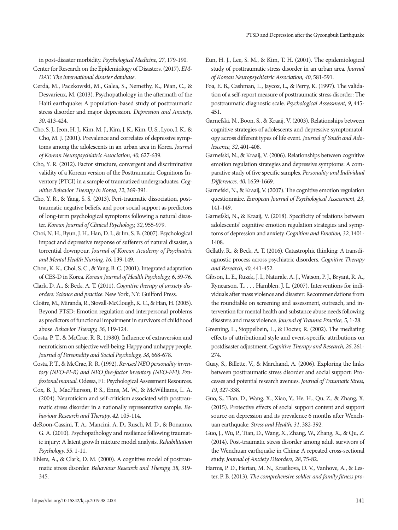in post-disaster morbidity. *Psychological Medicine, 27*, 179-190.

- Center for Research on the Epidemiology of Disasters. (2017). *EM-DAT: The international disaster database*.
- Cerdá, M., Paczkowski, M., Galea, S., Nemethy, K., Péan, C., & Desvarieux, M. (2013). Psychopathology in the aftermath of the Haiti earthquake: A population-based study of posttraumatic stress disorder and major depression. *Depression and Anxiety, 30*, 413-424.
- Cho, S. J., Jeon, H. J., Kim, M. J., Kim, J. K., Kim, U. S., Lyoo, I. K., & Cho, M. J. (2001). Prevalence and correlates of depressive symptoms among the adolescents in an urban area in Korea. *Journal of Korean Neuropsychiatric Association, 40*, 627-639.
- Cho, Y. R. (2012). Factor structure, convergent and discriminative validity of a Korean version of the Posttraumatic Cognitions Inventory (PTCI) in a sample of traumatized undergraduates. *Cognitive Behavior Therapy in Korea, 12*, 369-391.
- Cho, Y. R., & Yang, S. S. (2013). Peri-traumatic dissociation, posttraumatic negative beliefs, and poor social support as predictors of long-term psychological symptoms following a natural disaster. *Korean Journal of Clinical Psychology, 32*, 955-979.
- Choi, N. H., Byun, J. H., Han, D. I., & Im, S. B. (2007). Psychological impact and depressive response of sufferers of natural disaster, a torrential downpour. *Journal of Korean Academy of Psychiatric and Mental Health Nursing, 16*, 139-149.
- Chon, K. K., Choi, S. C., & Yang, B. C. (2001). Integrated adaptation of CES-D in Korea. *Korean Journal of Health Psychology, 6*, 59-76.
- Clark, D. A., & Beck, A. T. (2011). *Cognitive therapy of anxiety disorders: Science and practice*. New York, NY: Guilford Press.
- Cloitre, M., Miranda, R., Stovall-McClough, K. C., & Han, H. (2005). Beyond PTSD: Emotion regulation and interpersonal problems as predictors of functional impairment in survivors of childhood abuse. *Behavior Therapy, 36*, 119-124.
- Costa, P. T., & McCrae, R. R. (1980). Influence of extraversion and neuroticism on subjective well-being: Happy and unhappy people. *Journal of Personality and Social Psychology, 38*, 668-678.
- Costa, P. T., & McCrae, R. R. (1992). *Revised NEO personality inventory (NEO-PI-R) and NEO five-factor inventory (NEO-FFI): Professional manual*. Odessa, FL: Psychological Assessment Resources.
- Cox, B. J., MacPherson, P. S., Enns, M. W., & McWilliams, L. A. (2004). Neuroticism and self-criticism associated with posttraumatic stress disorder in a nationally representative sample. *Behaviour Research and Therapy, 42*, 105-114.
- deRoon-Cassini, T. A., Mancini, A. D., Rusch, M. D., & Bonanno, G. A. (2010). Psychopathology and resilience following traumatic injury: A latent growth mixture model analysis. *Rehabilitation Psychology, 55*, 1-11.
- Ehlers, A., & Clark, D. M. (2000). A cognitive model of posttraumatic stress disorder. *Behaviour Research and Therapy, 38*, 319- 345.
- Eun, H. J., Lee, S. M., & Kim, T. H. (2001). The epidemiological study of posttraumatic stress disorder in an urban area. *Journal of Korean Neuropsychiatric Association, 40*, 581-591.
- Foa, E. B., Cashman, L., Jaycox, L., & Perry, K. (1997). The validation of a self-report measure of posttraumatic stress disorder: The posttraumatic diagnostic scale. *Psychological Assessment, 9*, 445- 451.
- Garnefski, N., Boon, S., & Kraaij, V. (2003). Relationships between cognitive strategies of adolescents and depressive symptomatology across different types of life event. *Journal of Youth and Adolescence, 32*, 401-408.
- Garnefski, N., & Kraaij, V. (2006). Relationships between cognitive emotion regulation strategies and depressive symptoms: A comparative study of five specific samples. *Personality and Individual Differences, 40*, 1659-1669.
- Garnefski, N., & Kraaij, V. (2007). The cognitive emotion regulation questionnaire. *European Journal of Psychological Assessment, 23*, 141-149.
- Garnefski, N., & Kraaij, V. (2018). Specificity of relations between adolescents' cognitive emotion regulation strategies and symptoms of depression and anxiety. *Cognition and Emotion, 32*, 1401- 1408.
- Gellatly, R., & Beck, A. T. (2016). Catastrophic thinking: A transdiagnostic process across psychiatric disorders. *Cognitive Therapy and Research, 40*, 441-452.
- Gibson, L. E., Ruzek, J. I., Naturale, A. J., Watson, P. J., Bryant, R. A., Rynearson, T., . . . Hamblen, J. L. (2007). Interventions for individuals after mass violence and disaster: Recommendations from the roundtable on screening and assessment, outreach, and intervention for mental health and substance abuse needs following disasters and mass violence. *Journal of Trauma Practice, 5*, 1-28.
- Greening, L., Stoppelbein, L., & Docter, R. (2002). The mediating effects of attributional style and event-specific attributions on postdisaster adjustment. *Cognitive Therapy and Research, 26*, 261- 274.
- Guay, S., Billette, V., & Marchand, A. (2006). Exploring the links between posttraumatic stress disorder and social support: Processes and potential research avenues. *Journal of Traumatic Stress, 19*, 327-338.
- Guo, S., Tian, D., Wang, X., Xiao, Y., He, H., Qu, Z., & Zhang, X. (2015). Protective effects of social support content and support source on depression and its prevalence 6 months after Wenchuan earthquake. *Stress and Health, 31*, 382-392.
- Guo, J., Wu, P., Tian, D., Wang, X., Zhang, W., Zhang, X., & Qu, Z. (2014). Post-traumatic stress disorder among adult survivors of the Wenchuan earthquake in China: A repeated cross-sectional study. *Journal of Anxiety Disorders, 28*, 75-82.
- Harms, P. D., Herian, M. N., Krasikova, D. V., Vanhove, A., & Lester, P. B. (2013). *The comprehensive soldier and family fitness pro-*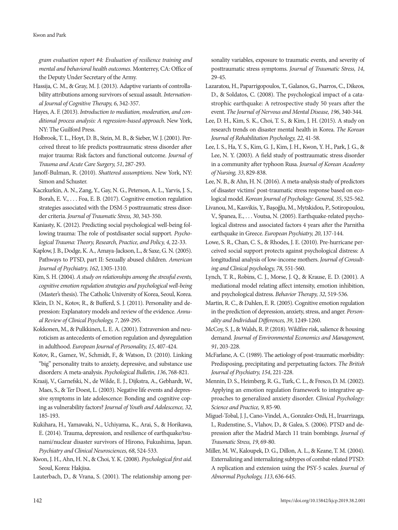#### Kwon and Park

*gram evaluation report #4: Evaluation of resilience training and mental and behavioral health outcomes*. Monterrey, CA: Office of the Deputy Under Secretary of the Army.

- Hassija, C. M., & Gray, M. J. (2013). Adaptive variants of controllability attributions among survivors of sexual assault. *International Journal of Cognitive Therapy, 6*, 342-357.
- Hayes, A. F. (2013). *Introduction to mediation, moderation, and conditional process analysis: A regression-based approach*. New York, NY: The Guilford Press.
- Holbrook, T. L., Hoyt, D. B., Stein, M. B., & Sieber, W. J. (2001). Perceived threat to life predicts posttraumatic stress disorder after major trauma: Risk factors and functional outcome. *Journal of Trauma and Acute Care Surgery, 51*, 287-293.
- Janoff-Bulman, R. (2010). *Shattered assumptions*. New York, NY: Simon and Schuster.
- Kaczkurkin, A. N., Zang, Y., Gay, N. G., Peterson, A. L., Yarvis, J. S., Borah, E. V., . . . Foa, E. B. (2017). Cognitive emotion regulation strategies associated with the DSM‐5 posttraumatic stress disorder criteria. *Journal of Traumatic Stress, 30*, 343-350.
- Kaniasty, K. (2012). Predicting social psychological well-being following trauma: The role of postdisaster social support. *Psychological Trauma: Theory, Research, Practice, and Policy, 4*, 22-33.
- Kaplow, J. B., Dodge, K. A., Amaya-Jackson, L., & Saxe, G. N. (2005). Pathways to PTSD, part II: Sexually abused children. *American Journal of Psychiatry, 162*, 1305-1310.
- Kim, S. H. (2004). *A study on relationships among the stressful events, cognitive emotion regulation strategies and psychological well-being* (Master's thesis). The Catholic University of Korea, Seoul, Korea.
- Klein, D. N., Kotov, R., & Bufferd, S. J. (2011). Personality and depression: Explanatory models and review of the evidence. *Annual Review of Clinical Psychology, 7*, 269-295.
- Kokkonen, M., & Pulkkinen, L. E. A. (2001). Extraversion and neuroticism as antecedents of emotion regulation and dysregulation in adulthood. *European Journal of Personality, 15*, 407-424.
- Kotov, R., Gamez, W., Schmidt, F., & Watson, D. (2010). Linking "big" personality traits to anxiety, depressive, and substance use disorders: A meta-analysis. *Psychological Bulletin, 136*, 768-821.
- Kraaij, V., Garnefski, N., de Wilde, E. J., Dijkstra, A., Gebhardt, W., Maes, S., & Ter Doest, L. (2003). Negative life events and depressive symptoms in late adolescence: Bonding and cognitive coping as vulnerability factors? *Journal of Youth and Adolescence, 32*, 185-193.
- Kukihara, H., Yamawaki, N., Uchiyama, K., Arai, S., & Horikawa, E. (2014). Trauma, depression, and resilience of earthquake/tsunami/nuclear disaster survivors of Hirono, Fukushima, Japan. *Psychiatry and Clinical Neurosciences, 68*, 524-533.
- Kwon, J. H., Ahn, H. N., & Choi, Y. K. (2008). *Psychological first aid*. Seoul, Korea: Hakjisa.

Lauterbach, D., & Vrana, S. (2001). The relationship among per-

sonality variables, exposure to traumatic events, and severity of posttraumatic stress symptoms. *Journal of Traumatic Stress, 14*, 29-45.

- Lazaratou, H., Paparrigopoulos, T., Galanos, G., Psarros, C., Dikeos, D., & Soldatos, C. (2008). The psychological impact of a catastrophic earthquake: A retrospective study 50 years after the event. *The Journal of Nervous and Mental Disease, 196*, 340-344.
- Lee, D. H., Kim, S. K., Choi, T. S., & Kim, J. H. (2015). A study on research trends on disaster mental health in Korea. *The Korean Journal of Rehabilitation Psychology, 22*, 41-58.
- Lee, I. S., Ha, Y. S., Kim, G. J., Kim, J. H., Kwon, Y. H., Park, J. G., & Lee, N. Y. (2003). A field study of posttraumatic stress disorder in a community after typhoon Rusa. *Journal of Korean Academy of Nursing, 33*, 829-838.
- Lee, N. B., & Ahn, H. N. (2016). A meta-analysis study of predictors of disaster victims' post-traumatic stress response based on ecological model. *Korean Journal of Psychology: General, 35*, 525-562.
- Livanou, M., Kasvikis, Y., Başoğlu, M., Mytskidou, P., Sotiropoulou, V., Spanea, E., . . . Voutsa, N. (2005). Earthquake-related psychological distress and associated factors 4 years after the Parnitha earthquake in Greece. *European Psychiatry, 20*, 137-144.
- Lowe, S. R., Chan, C. S., & Rhodes, J. E. (2010). Pre-hurricane perceived social support protects against psychological distress: A longitudinal analysis of low-income mothers. *Journal of Consulting and Clinical psychology, 78*, 551-560.
- Lynch, T. R., Robins, C. J., Morse, J. Q., & Krause, E. D. (2001). A mediational model relating affect intensity, emotion inhibition, and psychological distress. *Behavior Therapy, 32*, 519-536.
- Martin, R. C., & Dahlen, E. R. (2005). Cognitive emotion regulation in the prediction of depression, anxiety, stress, and anger. *Personality and Individual Differences, 39*, 1249-1260.
- McCoy, S. J., & Walsh, R. P. (2018). Wildfire risk, salience & housing demand. *Journal of Environmental Economics and Management, 91*, 203-228.
- McFarlane, A. C. (1989). The aetiology of post-traumatic morbidity: Predisposing, precipitating and perpetuating factors. *The British Journal of Psychiatry, 154*, 221-228.
- Mennin, D. S., Heimberg, R. G., Turk, C. L., & Fresco, D. M. (2002). Applying an emotion regulation framework to integrative approaches to generalized anxiety disorder. *Clinical Psychology: Science and Practice, 9*, 85-90.
- Miguel‐Tobal, J. J., Cano‐Vindel, A., Gonzalez‐Ordi, H., Iruarrizaga, I., Rudenstine, S., Vlahov, D., & Galea, S. (2006). PTSD and depression after the Madrid March 11 train bombings. *Journal of Traumatic Stress, 19*, 69-80.
- Miller, M. W., Kaloupek, D. G., Dillon, A. L., & Keane, T. M. (2004). Externalizing and internalizing subtypes of combat-related PTSD: A replication and extension using the PSY-5 scales. *Journal of Abnormal Psychology, 113*, 636-645.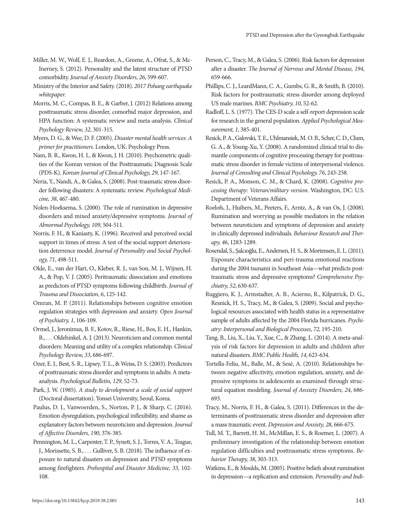- Miller, M. W., Wolf, E. J., Reardon, A., Greene, A., Ofrat, S., & Mc-Inerney, S. (2012). Personality and the latent structure of PTSD comorbidity. *Journal of Anxiety Disorders, 26*, 599-607.
- Ministry of the Interior and Safety. (2018). *2017 Pohang earthquake whitepaper*.
- Morris, M. C., Compas, B. E., & Garber, J. (2012) Relations among posttraumatic stress disorder, comorbid major depression, and HPA function: A systematic review and meta-analysis. *Clinical Psychology Review, 32*, 301-315.
- Myers, D. G., & Wee, D. F. (2005). *Disaster mental health services: A primer for practitioners*. London, UK: Psychology Press.
- Nam, B. R., Kwon, H. I., & Kwon, J. H. (2010). Psychometric qualities of the Korean version of the Posttraumatic Diagnosis Scale (PDS-K). *Korean Journal of Clinical Psychology, 29*, 147-167.
- Neria, Y., Nandi, A., & Galea, S. (2008). Post-traumatic stress disorder following disasters: A systematic review. *Psychological Medicine, 38*, 467-480.
- Nolen-Hoeksema, S. (2000). The role of rumination in depressive disorders and mixed anxiety/depressive symptoms. *Journal of Abnormal Psychology, 109*, 504-511.
- Norris, F. H., & Kaniasty, K. (1996). Received and perceived social support in times of stress: A test of the social support deterioration deterrence model. *Journal of Personality and Social Psychology, 71*, 498-511.
- Olde, E., van der Hart, O., Kleber, R. J., van Son, M. J., Wijnen, H. A., & Pop, V. J. (2005). Peritraumatic dissociation and emotions as predictors of PTSD symptoms following childbirth. *Journal of Trauma and Dissociation, 6*, 125-142.
- Omran, M. P. (2011). Relationships between cognitive emotion regulation strategies with depression and anxiety. *Open Journal of Psychiatry, 1*, 106-109.
- Ormel, J., Jeronimus, B. F., Kotov, R., Riese, H., Bos, E. H., Hankin, B., . . . Oldehinkel, A. J. (2013). Neuroticism and common mental disorders: Meaning and utility of a complex relationship. *Clinical Psychology Review, 33*, 686-697.
- Ozer, E. J., Best, S. R., Lipsey, T. L., & Weiss, D. S. (2003). Predictors of posttraumatic stress disorder and symptoms in adults: A metaanalysis. *Psychological Bulletin, 129*, 52-73.
- Park, J. W. (1985). *A study to development a scale of social support* (Doctoral dissertation). Yonsei University, Seoul, Korea.
- Paulus, D. J., Vanwoerden, S., Norton, P. J., & Sharp, C. (2016). Emotion dysregulation, psychological inflexibility, and shame as explanatory factors between neuroticism and depression. *Journal of Affective Disorders, 190*, 376-385.
- Pennington, M. L., Carpenter, T. P., Synett, S. J., Torres, V. A., Teague, J., Morissette, S. B., . . . Gulliver, S. B. (2018). The influence of exposure to natural disasters on depression and PTSD symptoms among firefighters. *Prehospital and Disaster Medicine, 33*, 102- 108.
- Person, C., Tracy, M., & Galea, S. (2006). Risk factors for depression after a disaster. *The Journal of Nervous and Mental Disease, 194*, 659-666.
- Phillips, C. J., LeardMann, C. A., Gumbs, G. R., & Smith, B. (2010). Risk factors for posttraumatic stress disorder among deployed US male marines. *BMC Psychiatry, 10*, 52-62.
- Radloff, L. S. (1977). The CES-D scale a self-report depression scale for research in the general population. *Applied Psychological Measurement, 1*, 385-401.
- Resick, P. A., Galovski, T. E., Uhlmansiek, M. O. B., Scher, C. D., Clum, G. A., & Young-Xu, Y. (2008). A randomized clinical trial to dismantle components of cognitive processing therapy for posttraumatic stress disorder in female victims of interpersonal violence. *Journal of Consulting and Clinical Psychology, 76*, 243-258.
- Resick, P. A., Monson, C. M., & Chard, K. (2008). *Cognitive processing therapy: Veteran/military version*. Washington, DC: U.S. Department of Veterans Affairs.
- Roelofs, J., Huibers, M., Peeters, F., Arntz, A., & van Os, J. (2008). Rumination and worrying as possible mediators in the relation between neuroticism and symptoms of depression and anxiety in clinically depressed individuals. *Behaviour Research and Therapy, 46*, 1283-1289.
- Rosendal, S., Şalcıoğlu, E., Andersen, H. S., & Mortensen, E. L. (2011). Exposure characteristics and peri-trauma emotional reactions during the 2004 tsunami in Southeast Asia—what predicts posttraumatic stress and depressive symptoms? *Comprehensive Psychiatry, 52*, 630-637.
- Ruggiero, K. J., Armstadter, A. B., Acierno, R., Kilpatrick, D. G., Resnick, H. S., Tracy, M., & Galea, S. (2009). Social and psychological resources associated with health status in a representative sample of adults affected by the 2004 Florida hurricanes. *Psychiatry: Interpersonal and Biological Processes, 72*, 195-210.
- Tang, B., Liu, X., Liu, Y., Xue, C., & Zhang, L. (2014). A meta-analysis of risk factors for depression in adults and children after natural disasters. *BMC Public Health, 14*, 623-634.
- Tortella-Feliu, M., Balle, M., & Sesé, A. (2010). Relationships between negative affectivity, emotion regulation, anxiety, and depressive symptoms in adolescents as examined through structural equation modeling. *Journal of Anxiety Disorders, 24*, 686- 693.
- Tracy, M., Norris, F. H., & Galea, S. (2011). Differences in the determinants of posttraumatic stress disorder and depression after a mass traumatic event. *Depression and Anxiety, 28*, 666-675.
- Tull, M. T., Barrett, H. M., McMillan, E. S., & Roemer, L. (2007). A preliminary investigation of the relationship between emotion regulation difficulties and posttraumatic stress symptoms. *Behavior Therapy, 38*, 303-313.
- Watkins, E., & Moulds, M. (2005). Positive beliefs about rumination in depression—a replication and extension. *Personality and Indi-*